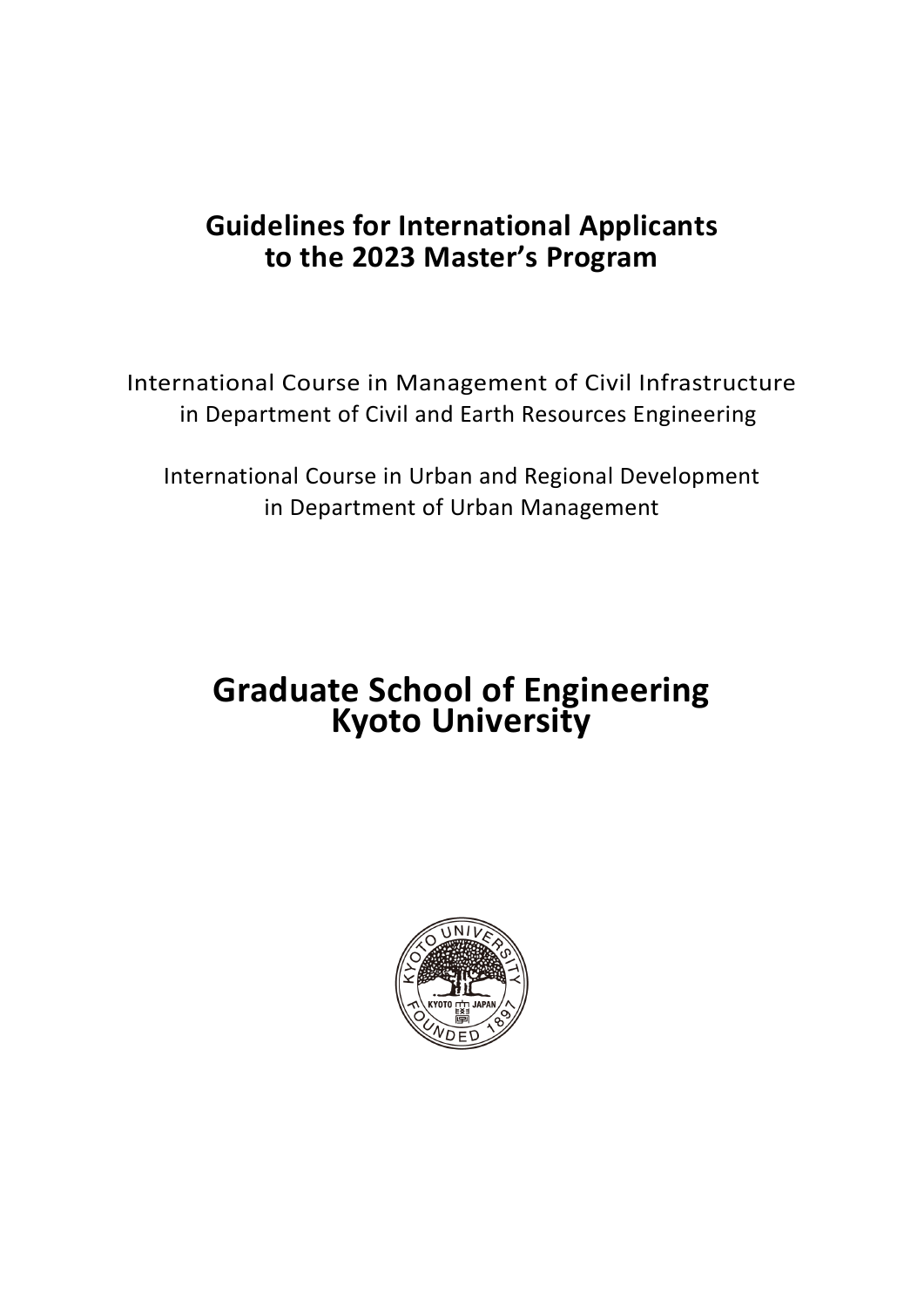# **Guidelines for International Applicants to the 2023 Master's Program**

International Course in Management of Civil Infrastructure in Department of Civil and Earth Resources Engineering

International Course in Urban and Regional Development in Department of Urban Management

# **Graduate School of Engineering Kyoto University**

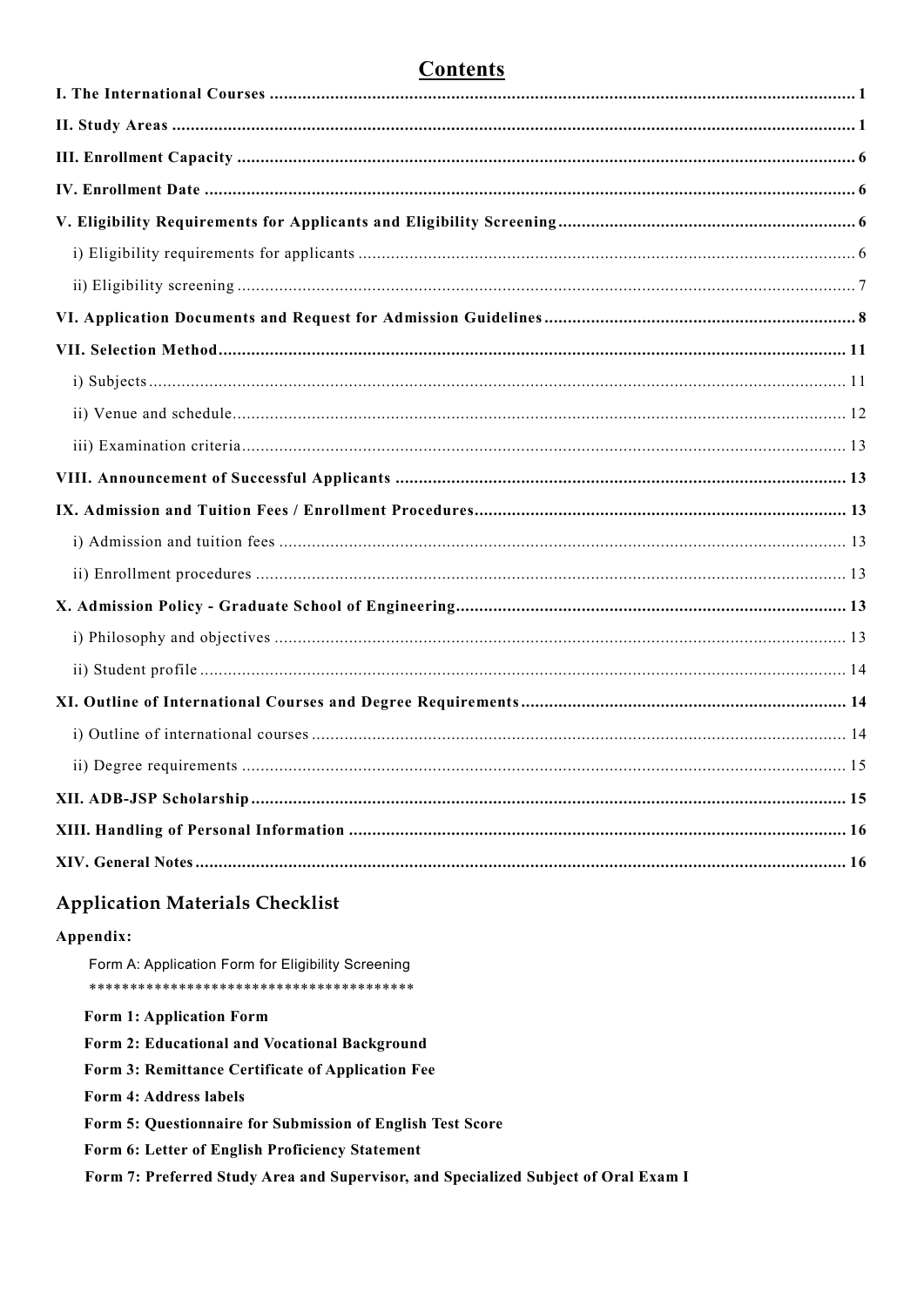# **Contents**

# **Application Materials Checklist**

#### Appendix:

Form A: Application Form for Eligibility Screening Form 1: Application Form Form 2: Educational and Vocational Background Form 3: Remittance Certificate of Application Fee Form 4: Address labels Form 5: Questionnaire for Submission of English Test Score Form 6: Letter of English Proficiency Statement Form 7: Preferred Study Area and Supervisor, and Specialized Subject of Oral Exam I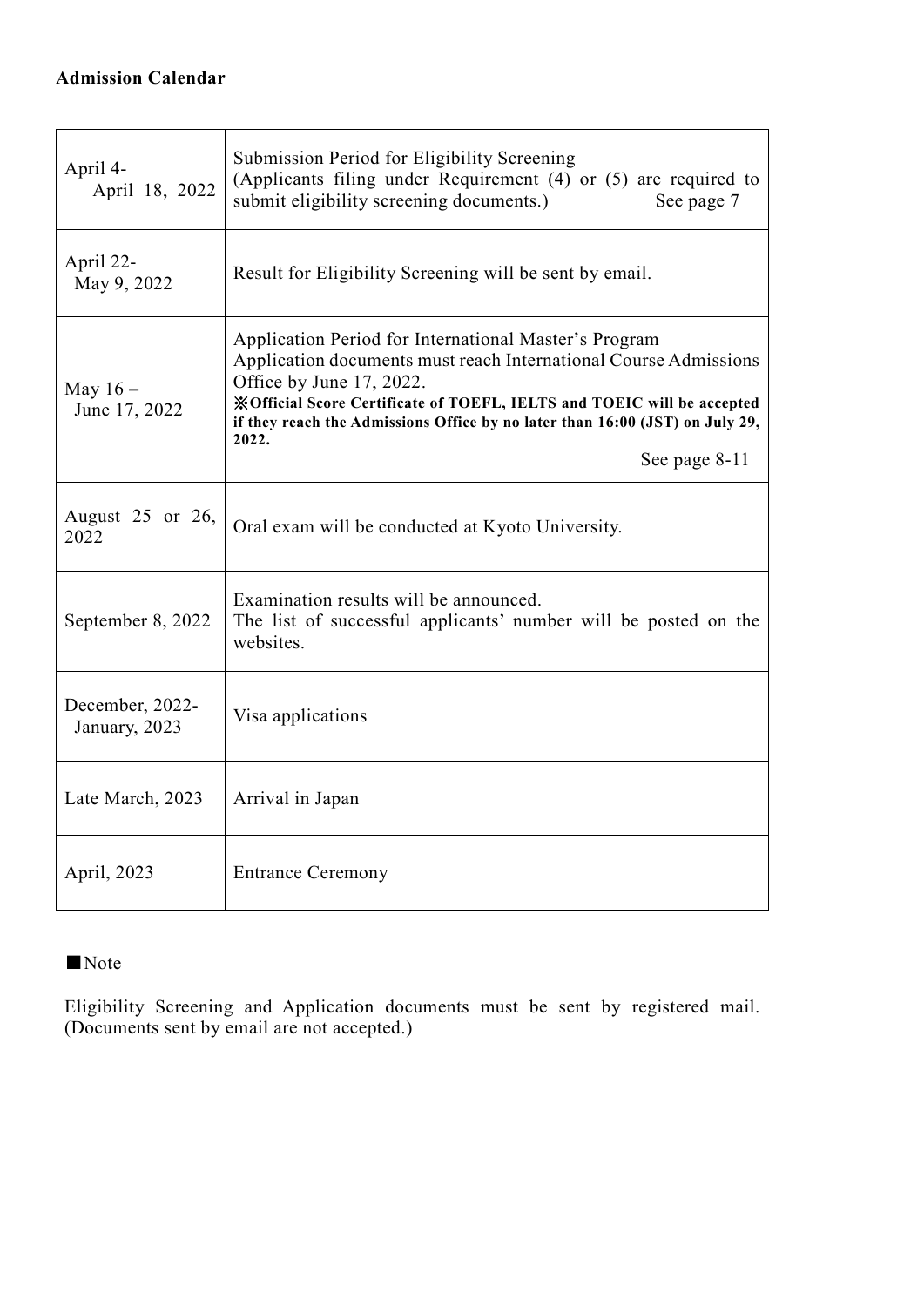## **Admission Calendar**

| April 4-<br>April 18, 2022       | Submission Period for Eligibility Screening<br>(Applicants filing under Requirement (4) or (5) are required to<br>submit eligibility screening documents.)<br>See page 7                                                                                                                                                 |
|----------------------------------|--------------------------------------------------------------------------------------------------------------------------------------------------------------------------------------------------------------------------------------------------------------------------------------------------------------------------|
| April 22-<br>May 9, 2022         | Result for Eligibility Screening will be sent by email.                                                                                                                                                                                                                                                                  |
| May $16-$<br>June 17, 2022       | Application Period for International Master's Program<br>Application documents must reach International Course Admissions<br>Office by June 17, 2022.<br>※Official Score Certificate of TOEFL, IELTS and TOEIC will be accepted<br>if they reach the Admissions Office by no later than 16:00 (JST) on July 29,<br>2022. |
|                                  | See page 8-11                                                                                                                                                                                                                                                                                                            |
| August 25 or 26,<br>2022         | Oral exam will be conducted at Kyoto University.                                                                                                                                                                                                                                                                         |
| September 8, 2022                | Examination results will be announced.<br>The list of successful applicants' number will be posted on the<br>websites.                                                                                                                                                                                                   |
| December, 2022-<br>January, 2023 | Visa applications                                                                                                                                                                                                                                                                                                        |
| Late March, 2023                 | Arrival in Japan                                                                                                                                                                                                                                                                                                         |
| April, 2023                      | <b>Entrance Ceremony</b>                                                                                                                                                                                                                                                                                                 |

# ■Note

Eligibility Screening and Application documents must be sent by registered mail. (Documents sent by email are not accepted.)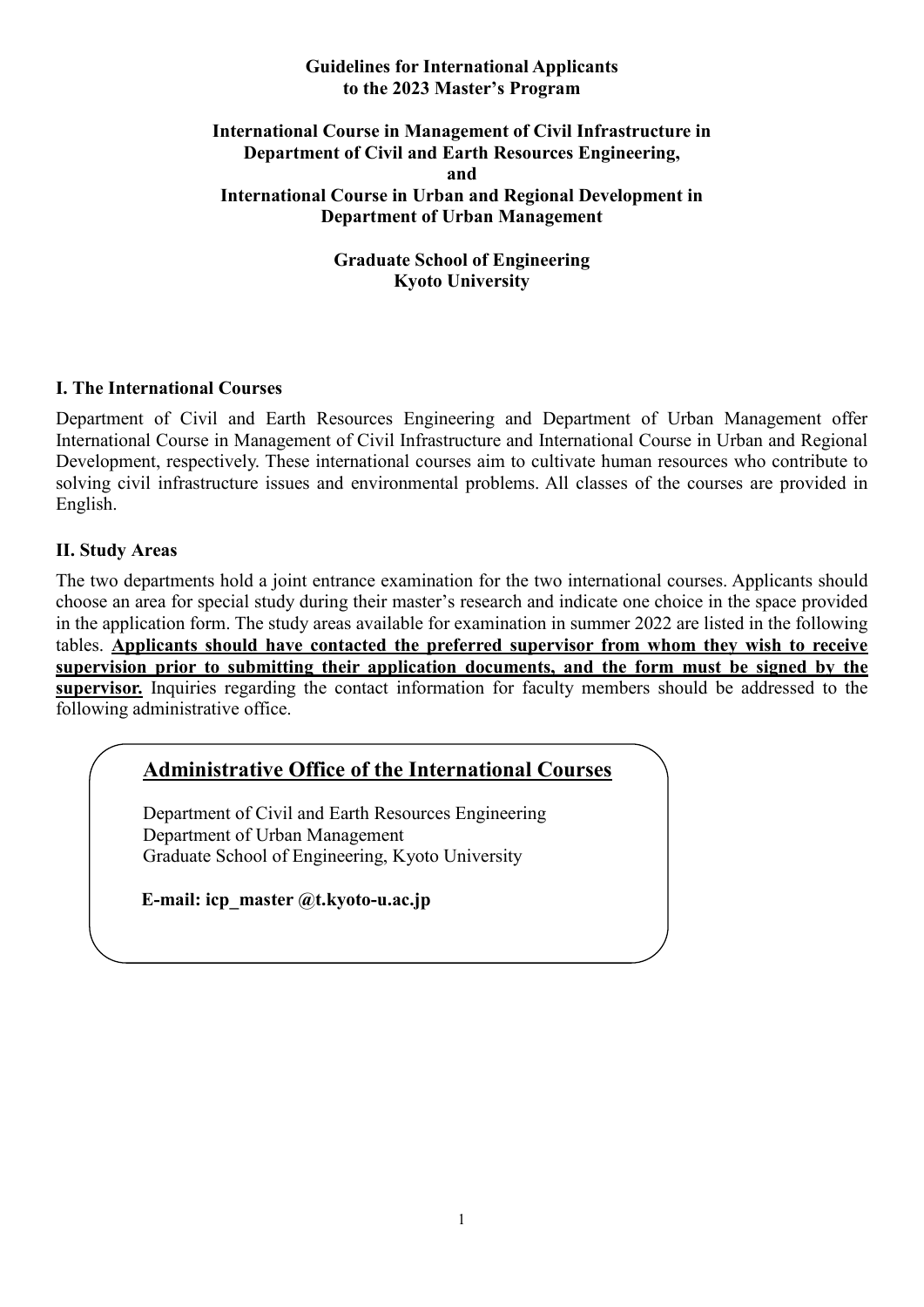#### **Guidelines for International Applicants to the 2023 Master's Program**

#### **International Course in Management of Civil Infrastructure in Department of Civil and Earth Resources Engineering, and International Course in Urban and Regional Development in Department of Urban Management**

**Graduate School of Engineering Kyoto University**

#### **I. The International Courses**

Department of Civil and Earth Resources Engineering and Department of Urban Management offer International Course in Management of Civil Infrastructure and International Course in Urban and Regional Development, respectively. These international courses aim to cultivate human resources who contribute to solving civil infrastructure issues and environmental problems. All classes of the courses are provided in English.

#### **II. Study Areas**

The two departments hold a joint entrance examination for the two international courses. Applicants should choose an area for special study during their master's research and indicate one choice in the space provided in the application form. The study areas available for examination in summer 2022 are listed in the following tables. **Applicants should have contacted the preferred supervisor from whom they wish to receive supervision prior to submitting their application documents, and the form must be signed by the supervisor.** Inquiries regarding the contact information for faculty members should be addressed to the following administrative office.

# **Administrative Office of the International Courses**

Department of Civil and Earth Resources Engineering Department of Urban Management Graduate School of Engineering, Kyoto University

**E-mail: icp\_master @t.kyoto-u.ac.jp**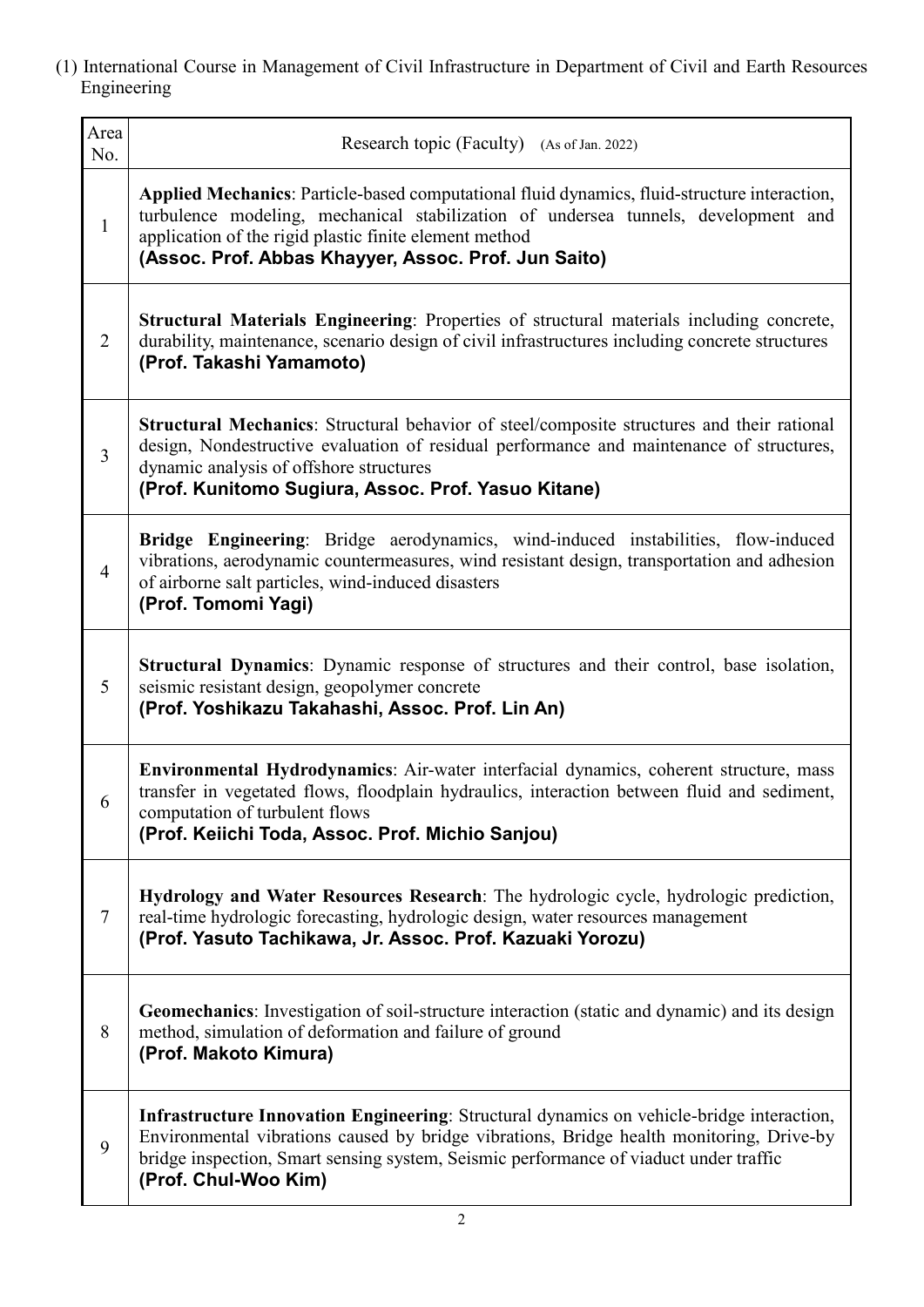| Area<br>No.    | Research topic (Faculty) (As of Jan. 2022)                                                                                                                                                                                                                                                             |
|----------------|--------------------------------------------------------------------------------------------------------------------------------------------------------------------------------------------------------------------------------------------------------------------------------------------------------|
| $\mathbf{1}$   | Applied Mechanics: Particle-based computational fluid dynamics, fluid-structure interaction,<br>turbulence modeling, mechanical stabilization of undersea tunnels, development and<br>application of the rigid plastic finite element method<br>(Assoc. Prof. Abbas Khayyer, Assoc. Prof. Jun Saito)   |
| $\overline{2}$ | Structural Materials Engineering: Properties of structural materials including concrete,<br>durability, maintenance, scenario design of civil infrastructures including concrete structures<br>(Prof. Takashi Yamamoto)                                                                                |
| 3              | Structural Mechanics: Structural behavior of steel/composite structures and their rational<br>design, Nondestructive evaluation of residual performance and maintenance of structures,<br>dynamic analysis of offshore structures<br>(Prof. Kunitomo Sugiura, Assoc. Prof. Yasuo Kitane)               |
| $\overline{4}$ | Bridge Engineering: Bridge aerodynamics, wind-induced instabilities, flow-induced<br>vibrations, aerodynamic countermeasures, wind resistant design, transportation and adhesion<br>of airborne salt particles, wind-induced disasters<br>(Prof. Tomomi Yagi)                                          |
| 5              | Structural Dynamics: Dynamic response of structures and their control, base isolation,<br>seismic resistant design, geopolymer concrete<br>(Prof. Yoshikazu Takahashi, Assoc. Prof. Lin An)                                                                                                            |
| 6              | Environmental Hydrodynamics: Air-water interfacial dynamics, coherent structure, mass<br>transfer in vegetated flows, floodplain hydraulics, interaction between fluid and sediment,<br>computation of turbulent flows<br>(Prof. Keiichi Toda, Assoc. Prof. Michio Sanjou)                             |
| $\tau$         | Hydrology and Water Resources Research: The hydrologic cycle, hydrologic prediction,<br>real-time hydrologic forecasting, hydrologic design, water resources management<br>(Prof. Yasuto Tachikawa, Jr. Assoc. Prof. Kazuaki Yorozu)                                                                   |
| 8              | Geomechanics: Investigation of soil-structure interaction (static and dynamic) and its design<br>method, simulation of deformation and failure of ground<br>(Prof. Makoto Kimura)                                                                                                                      |
| 9              | Infrastructure Innovation Engineering: Structural dynamics on vehicle-bridge interaction,<br>Environmental vibrations caused by bridge vibrations, Bridge health monitoring, Drive-by<br>bridge inspection, Smart sensing system, Seismic performance of viaduct under traffic<br>(Prof. Chul-Woo Kim) |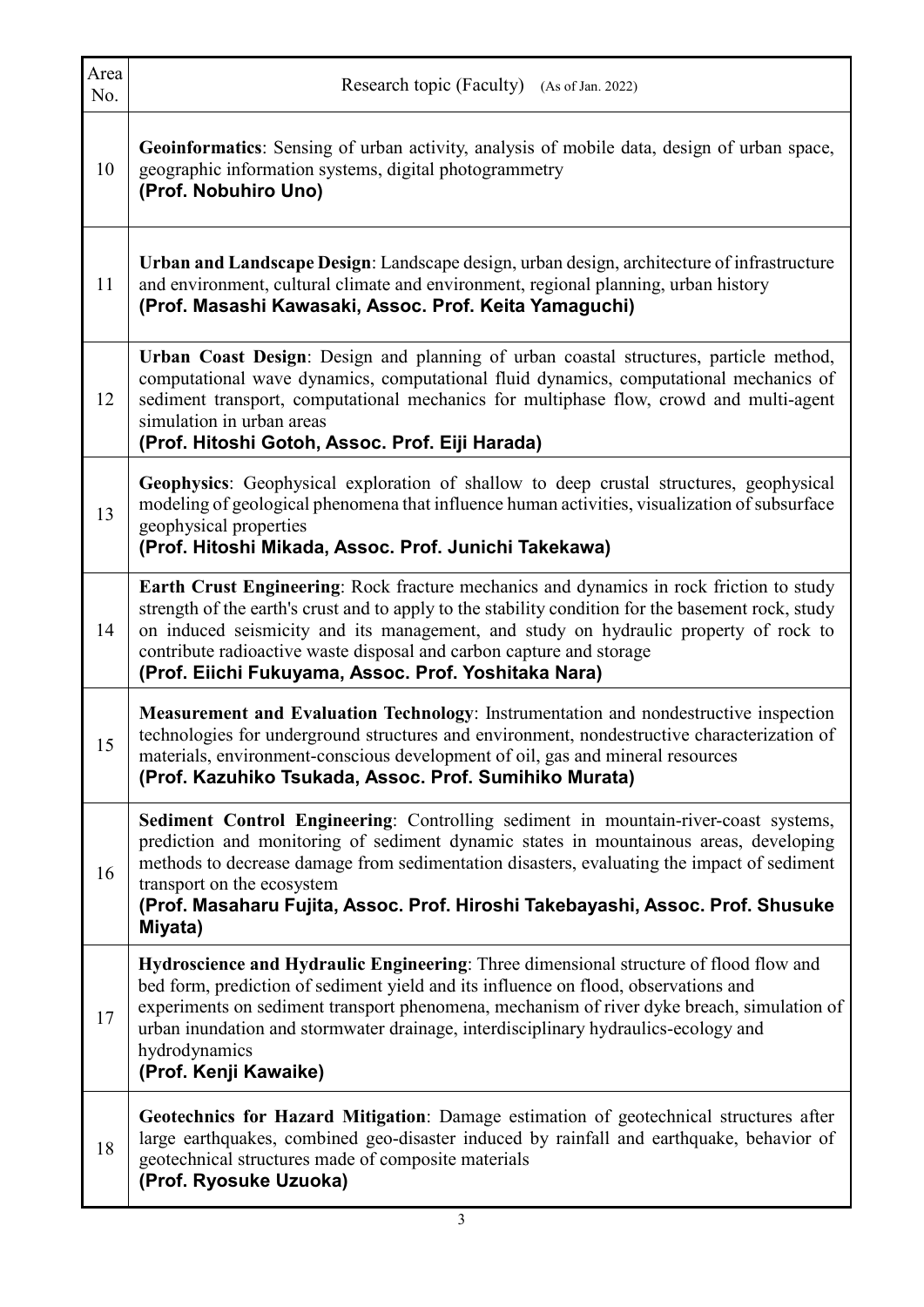| Area<br>No. | Research topic (Faculty) (As of Jan. 2022)                                                                                                                                                                                                                                                                                                                                                                            |  |
|-------------|-----------------------------------------------------------------------------------------------------------------------------------------------------------------------------------------------------------------------------------------------------------------------------------------------------------------------------------------------------------------------------------------------------------------------|--|
| 10          | Geoinformatics: Sensing of urban activity, analysis of mobile data, design of urban space,<br>geographic information systems, digital photogrammetry<br>(Prof. Nobuhiro Uno)                                                                                                                                                                                                                                          |  |
| 11          | Urban and Landscape Design: Landscape design, urban design, architecture of infrastructure<br>and environment, cultural climate and environment, regional planning, urban history<br>(Prof. Masashi Kawasaki, Assoc. Prof. Keita Yamaguchi)                                                                                                                                                                           |  |
| 12          | Urban Coast Design: Design and planning of urban coastal structures, particle method,<br>computational wave dynamics, computational fluid dynamics, computational mechanics of<br>sediment transport, computational mechanics for multiphase flow, crowd and multi-agent<br>simulation in urban areas<br>(Prof. Hitoshi Gotoh, Assoc. Prof. Eiji Harada)                                                              |  |
| 13          | Geophysics: Geophysical exploration of shallow to deep crustal structures, geophysical<br>modeling of geological phenomena that influence human activities, visualization of subsurface<br>geophysical properties<br>(Prof. Hitoshi Mikada, Assoc. Prof. Junichi Takekawa)                                                                                                                                            |  |
| 14          | Earth Crust Engineering: Rock fracture mechanics and dynamics in rock friction to study<br>strength of the earth's crust and to apply to the stability condition for the basement rock, study<br>on induced seismicity and its management, and study on hydraulic property of rock to<br>contribute radioactive waste disposal and carbon capture and storage<br>(Prof. Eiichi Fukuyama, Assoc. Prof. Yoshitaka Nara) |  |
| 15          | Measurement and Evaluation Technology: Instrumentation and nondestructive inspection<br>technologies for underground structures and environment, nondestructive characterization of<br>materials, environment-conscious development of oil, gas and mineral resources<br>(Prof. Kazuhiko Tsukada, Assoc. Prof. Sumihiko Murata)                                                                                       |  |
| 16          | Sediment Control Engineering: Controlling sediment in mountain-river-coast systems,<br>prediction and monitoring of sediment dynamic states in mountainous areas, developing<br>methods to decrease damage from sedimentation disasters, evaluating the impact of sediment<br>transport on the ecosystem<br>(Prof. Masaharu Fujita, Assoc. Prof. Hiroshi Takebayashi, Assoc. Prof. Shusuke<br>Miyata)                 |  |
| 17          | Hydroscience and Hydraulic Engineering: Three dimensional structure of flood flow and<br>bed form, prediction of sediment yield and its influence on flood, observations and<br>experiments on sediment transport phenomena, mechanism of river dyke breach, simulation of<br>urban inundation and stormwater drainage, interdisciplinary hydraulics-ecology and<br>hydrodynamics<br>(Prof. Kenji Kawaike)            |  |
| 18          | Geotechnics for Hazard Mitigation: Damage estimation of geotechnical structures after<br>large earthquakes, combined geo-disaster induced by rainfall and earthquake, behavior of<br>geotechnical structures made of composite materials<br>(Prof. Ryosuke Uzuoka)                                                                                                                                                    |  |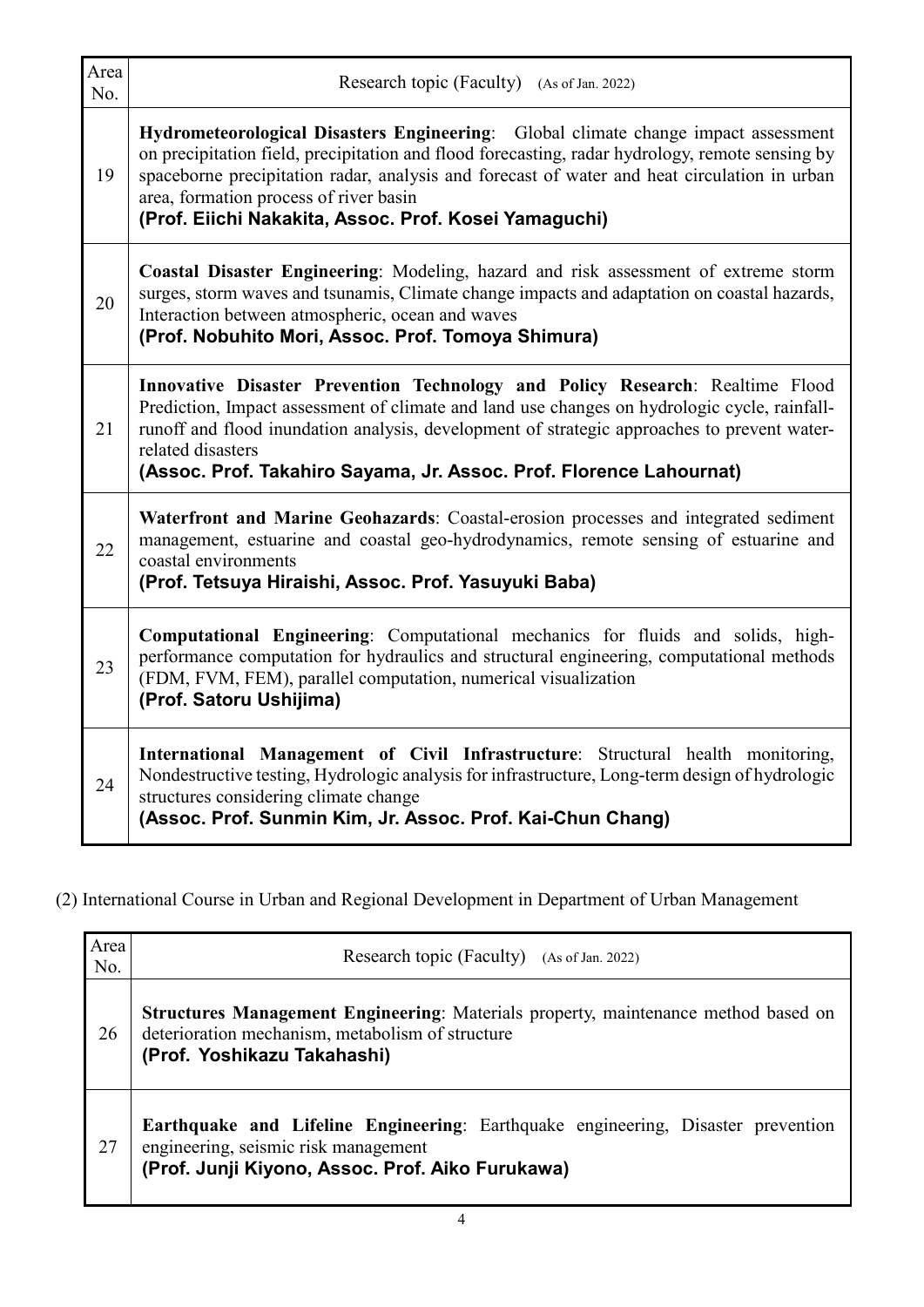| Area<br>No. | Research topic (Faculty) (As of Jan. 2022)                                                                                                                                                                                                                                                                                                                                               |
|-------------|------------------------------------------------------------------------------------------------------------------------------------------------------------------------------------------------------------------------------------------------------------------------------------------------------------------------------------------------------------------------------------------|
| 19          | Hydrometeorological Disasters Engineering: Global climate change impact assessment<br>on precipitation field, precipitation and flood forecasting, radar hydrology, remote sensing by<br>spaceborne precipitation radar, analysis and forecast of water and heat circulation in urban<br>area, formation process of river basin<br>(Prof. Eiichi Nakakita, Assoc. Prof. Kosei Yamaguchi) |
| 20          | Coastal Disaster Engineering: Modeling, hazard and risk assessment of extreme storm<br>surges, storm waves and tsunamis, Climate change impacts and adaptation on coastal hazards,<br>Interaction between atmospheric, ocean and waves<br>(Prof. Nobuhito Mori, Assoc. Prof. Tomoya Shimura)                                                                                             |
| 21          | Innovative Disaster Prevention Technology and Policy Research: Realtime Flood<br>Prediction, Impact assessment of climate and land use changes on hydrologic cycle, rainfall-<br>runoff and flood inundation analysis, development of strategic approaches to prevent water-<br>related disasters<br>(Assoc. Prof. Takahiro Sayama, Jr. Assoc. Prof. Florence Lahournat)                 |
| 22          | Waterfront and Marine Geohazards: Coastal-erosion processes and integrated sediment<br>management, estuarine and coastal geo-hydrodynamics, remote sensing of estuarine and<br>coastal environments<br>(Prof. Tetsuya Hiraishi, Assoc. Prof. Yasuyuki Baba)                                                                                                                              |
| 23          | Computational Engineering: Computational mechanics for fluids and solids, high-<br>performance computation for hydraulics and structural engineering, computational methods<br>(FDM, FVM, FEM), parallel computation, numerical visualization<br>(Prof. Satoru Ushijima)                                                                                                                 |
| 24          | International Management of Civil Infrastructure: Structural health monitoring,<br>Nondestructive testing, Hydrologic analysis for infrastructure, Long-term design of hydrologic<br>structures considering climate change<br>(Assoc. Prof. Sunmin Kim, Jr. Assoc. Prof. Kai-Chun Chang)                                                                                                 |

(2) International Course in Urban and Regional Development in Department of Urban Management

| Area<br>No. | Research topic (Faculty) (As of Jan. 2022)                                                                                                                                   |
|-------------|------------------------------------------------------------------------------------------------------------------------------------------------------------------------------|
| 26          | <b>Structures Management Engineering:</b> Materials property, maintenance method based on<br>deterioration mechanism, metabolism of structure<br>(Prof. Yoshikazu Takahashi) |
| 27          | Earthquake and Lifeline Engineering: Earthquake engineering, Disaster prevention<br>engineering, seismic risk management<br>(Prof. Junji Kiyono, Assoc. Prof. Aiko Furukawa) |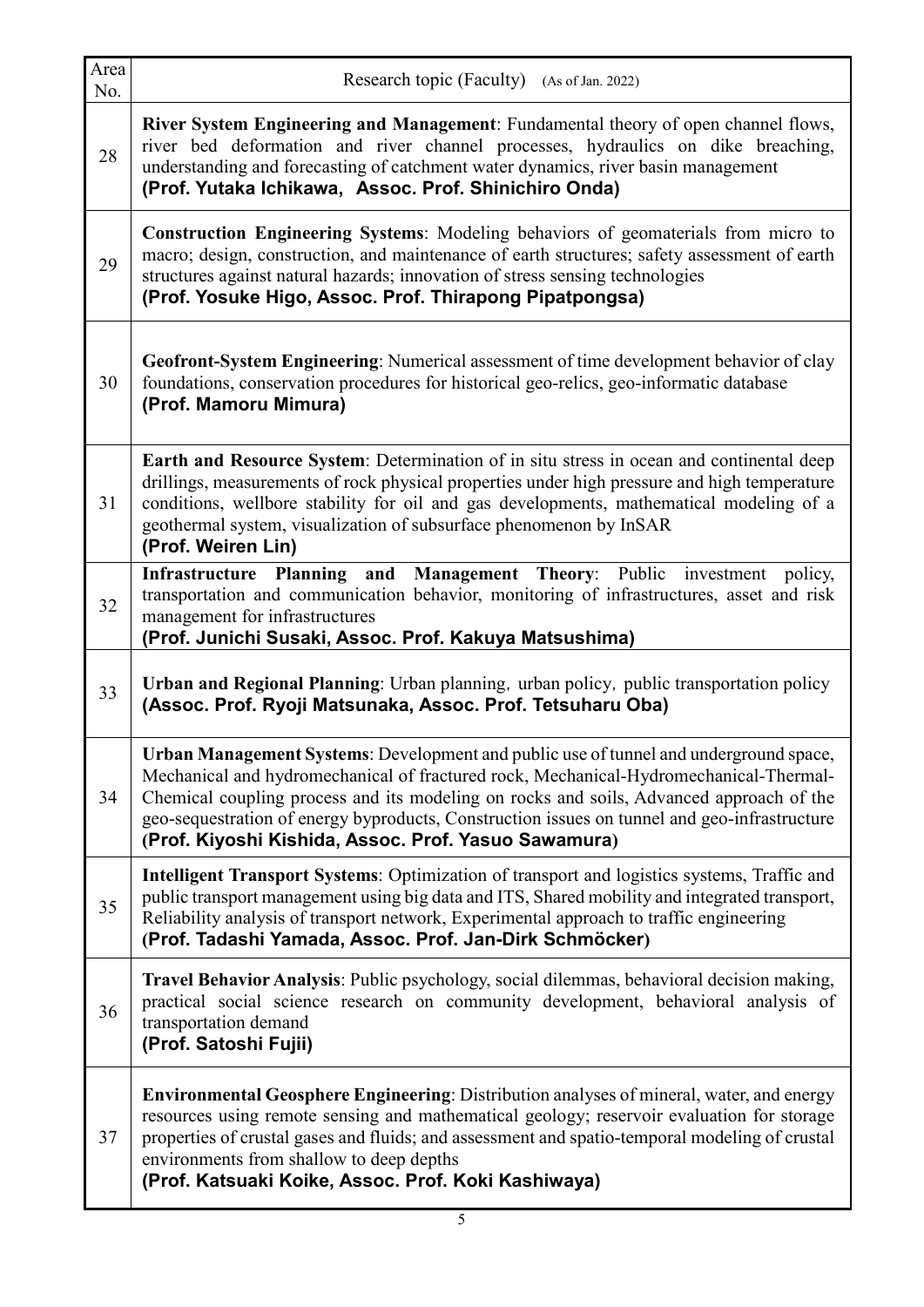| Area<br>No. | Research topic (Faculty) (As of Jan. 2022)                                                                                                                                                                                                                                                                                                                                                                                        |  |
|-------------|-----------------------------------------------------------------------------------------------------------------------------------------------------------------------------------------------------------------------------------------------------------------------------------------------------------------------------------------------------------------------------------------------------------------------------------|--|
| 28          | River System Engineering and Management: Fundamental theory of open channel flows,<br>river bed deformation and river channel processes, hydraulics on dike breaching,<br>understanding and forecasting of catchment water dynamics, river basin management<br>(Prof. Yutaka Ichikawa, Assoc. Prof. Shinichiro Onda)                                                                                                              |  |
| 29          | Construction Engineering Systems: Modeling behaviors of geomaterials from micro to<br>macro; design, construction, and maintenance of earth structures; safety assessment of earth<br>structures against natural hazards; innovation of stress sensing technologies<br>(Prof. Yosuke Higo, Assoc. Prof. Thirapong Pipatpongsa)                                                                                                    |  |
| 30          | Geofront-System Engineering: Numerical assessment of time development behavior of clay<br>foundations, conservation procedures for historical geo-relics, geo-informatic database<br>(Prof. Mamoru Mimura)                                                                                                                                                                                                                        |  |
| 31          | Earth and Resource System: Determination of in situ stress in ocean and continental deep<br>drillings, measurements of rock physical properties under high pressure and high temperature<br>conditions, wellbore stability for oil and gas developments, mathematical modeling of a<br>geothermal system, visualization of subsurface phenomenon by InSAR<br>(Prof. Weiren Lin)                                                   |  |
| 32          | Infrastructure Planning and Management Theory: Public investment policy,<br>transportation and communication behavior, monitoring of infrastructures, asset and risk<br>management for infrastructures<br>(Prof. Junichi Susaki, Assoc. Prof. Kakuya Matsushima)                                                                                                                                                                  |  |
| 33          | Urban and Regional Planning: Urban planning, urban policy, public transportation policy<br>(Assoc. Prof. Ryoji Matsunaka, Assoc. Prof. Tetsuharu Oba)                                                                                                                                                                                                                                                                             |  |
| 34          | Urban Management Systems: Development and public use of tunnel and underground space,<br>Mechanical and hydromechanical of fractured rock, Mechanical-Hydromechanical-Thermal-<br>Chemical coupling process and its modeling on rocks and soils, Advanced approach of the<br>geo-sequestration of energy byproducts, Construction issues on tunnel and geo-infrastructure<br>(Prof. Kiyoshi Kishida, Assoc. Prof. Yasuo Sawamura) |  |
| 35          | Intelligent Transport Systems: Optimization of transport and logistics systems, Traffic and<br>public transport management using big data and ITS, Shared mobility and integrated transport,<br>Reliability analysis of transport network, Experimental approach to traffic engineering<br>(Prof. Tadashi Yamada, Assoc. Prof. Jan-Dirk Schmöcker)                                                                                |  |
| 36          | Travel Behavior Analysis: Public psychology, social dilemmas, behavioral decision making,<br>practical social science research on community development, behavioral analysis of<br>transportation demand<br>(Prof. Satoshi Fujii)                                                                                                                                                                                                 |  |
| 37          | <b>Environmental Geosphere Engineering:</b> Distribution analyses of mineral, water, and energy<br>resources using remote sensing and mathematical geology; reservoir evaluation for storage<br>properties of crustal gases and fluids; and assessment and spatio-temporal modeling of crustal<br>environments from shallow to deep depths<br>(Prof. Katsuaki Koike, Assoc. Prof. Koki Kashiwaya)                                 |  |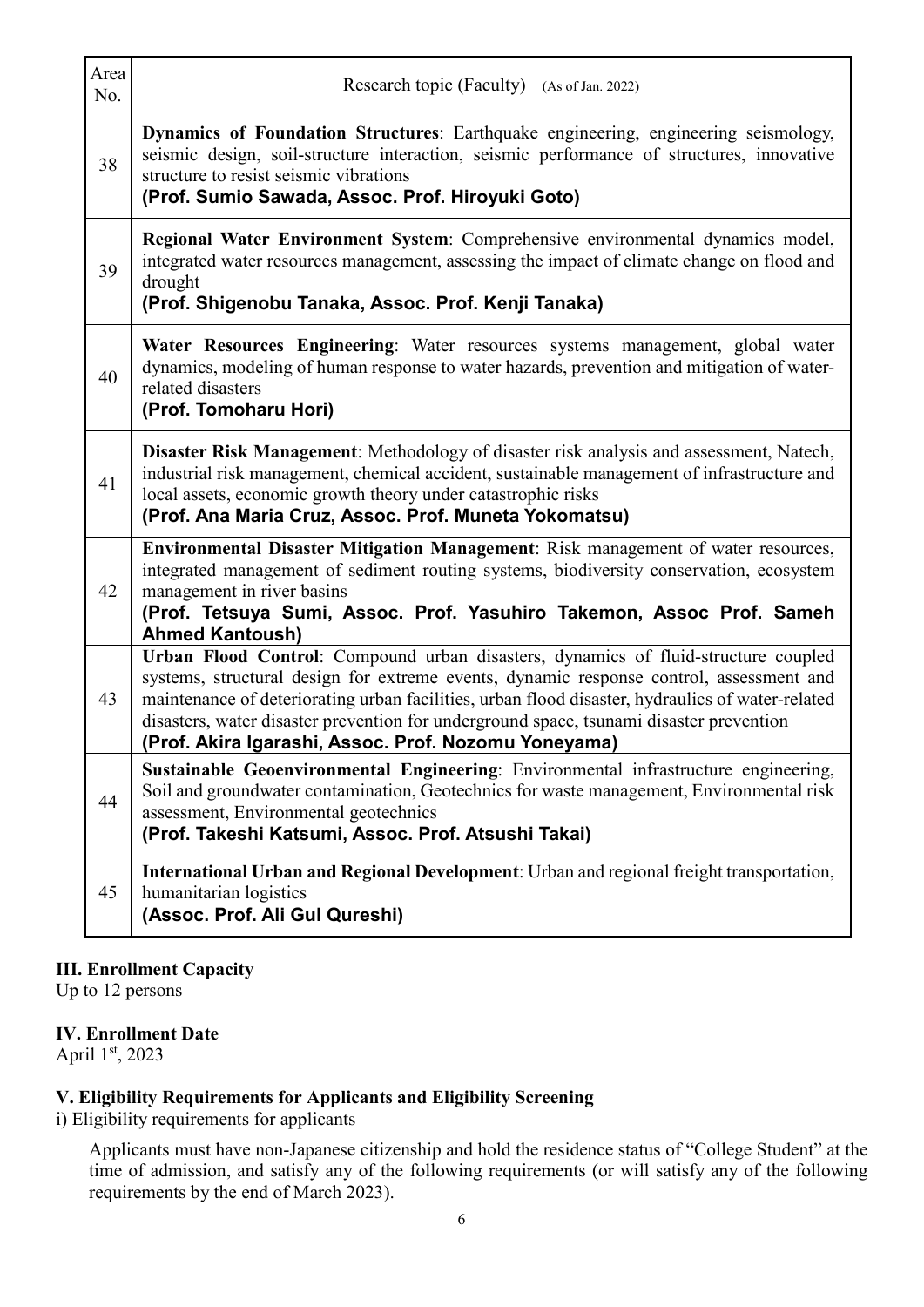| Area<br>No. | Research topic (Faculty) (As of Jan. 2022)                                                                                                                                                                                                                                                                                                                                                                                           |
|-------------|--------------------------------------------------------------------------------------------------------------------------------------------------------------------------------------------------------------------------------------------------------------------------------------------------------------------------------------------------------------------------------------------------------------------------------------|
| 38          | Dynamics of Foundation Structures: Earthquake engineering, engineering seismology,<br>seismic design, soil-structure interaction, seismic performance of structures, innovative<br>structure to resist seismic vibrations<br>(Prof. Sumio Sawada, Assoc. Prof. Hiroyuki Goto)                                                                                                                                                        |
| 39          | Regional Water Environment System: Comprehensive environmental dynamics model,<br>integrated water resources management, assessing the impact of climate change on flood and<br>drought<br>(Prof. Shigenobu Tanaka, Assoc. Prof. Kenji Tanaka)                                                                                                                                                                                       |
| 40          | Water Resources Engineering: Water resources systems management, global water<br>dynamics, modeling of human response to water hazards, prevention and mitigation of water-<br>related disasters<br>(Prof. Tomoharu Hori)                                                                                                                                                                                                            |
| 41          | Disaster Risk Management: Methodology of disaster risk analysis and assessment, Natech,<br>industrial risk management, chemical accident, sustainable management of infrastructure and<br>local assets, economic growth theory under catastrophic risks<br>(Prof. Ana Maria Cruz, Assoc. Prof. Muneta Yokomatsu)                                                                                                                     |
| 42          | Environmental Disaster Mitigation Management: Risk management of water resources,<br>integrated management of sediment routing systems, biodiversity conservation, ecosystem<br>management in river basins<br>(Prof. Tetsuya Sumi, Assoc. Prof. Yasuhiro Takemon, Assoc Prof. Sameh<br><b>Ahmed Kantoush)</b>                                                                                                                        |
| 43          | Urban Flood Control: Compound urban disasters, dynamics of fluid-structure coupled<br>systems, structural design for extreme events, dynamic response control, assessment and<br>maintenance of deteriorating urban facilities, urban flood disaster, hydraulics of water-related<br>disasters, water disaster prevention for underground space, tsunami disaster prevention<br>(Prof. Akira Igarashi, Assoc. Prof. Nozomu Yoneyama) |
| 44          | Sustainable Geoenvironmental Engineering: Environmental infrastructure engineering,<br>Soil and groundwater contamination, Geotechnics for waste management, Environmental risk<br>assessment, Environmental geotechnics<br>(Prof. Takeshi Katsumi, Assoc. Prof. Atsushi Takai)                                                                                                                                                      |
| 45          | International Urban and Regional Development: Urban and regional freight transportation,<br>humanitarian logistics<br>(Assoc. Prof. Ali Gul Qureshi)                                                                                                                                                                                                                                                                                 |

#### **III. Enrollment Capacity**

Up to 12 persons

#### **IV. Enrollment Date**

April 1st, 2023

#### **V. Eligibility Requirements for Applicants and Eligibility Screening**

i) Eligibility requirements for applicants

Applicants must have non-Japanese citizenship and hold the residence status of "College Student" at the time of admission, and satisfy any of the following requirements (or will satisfy any of the following requirements by the end of March 2023).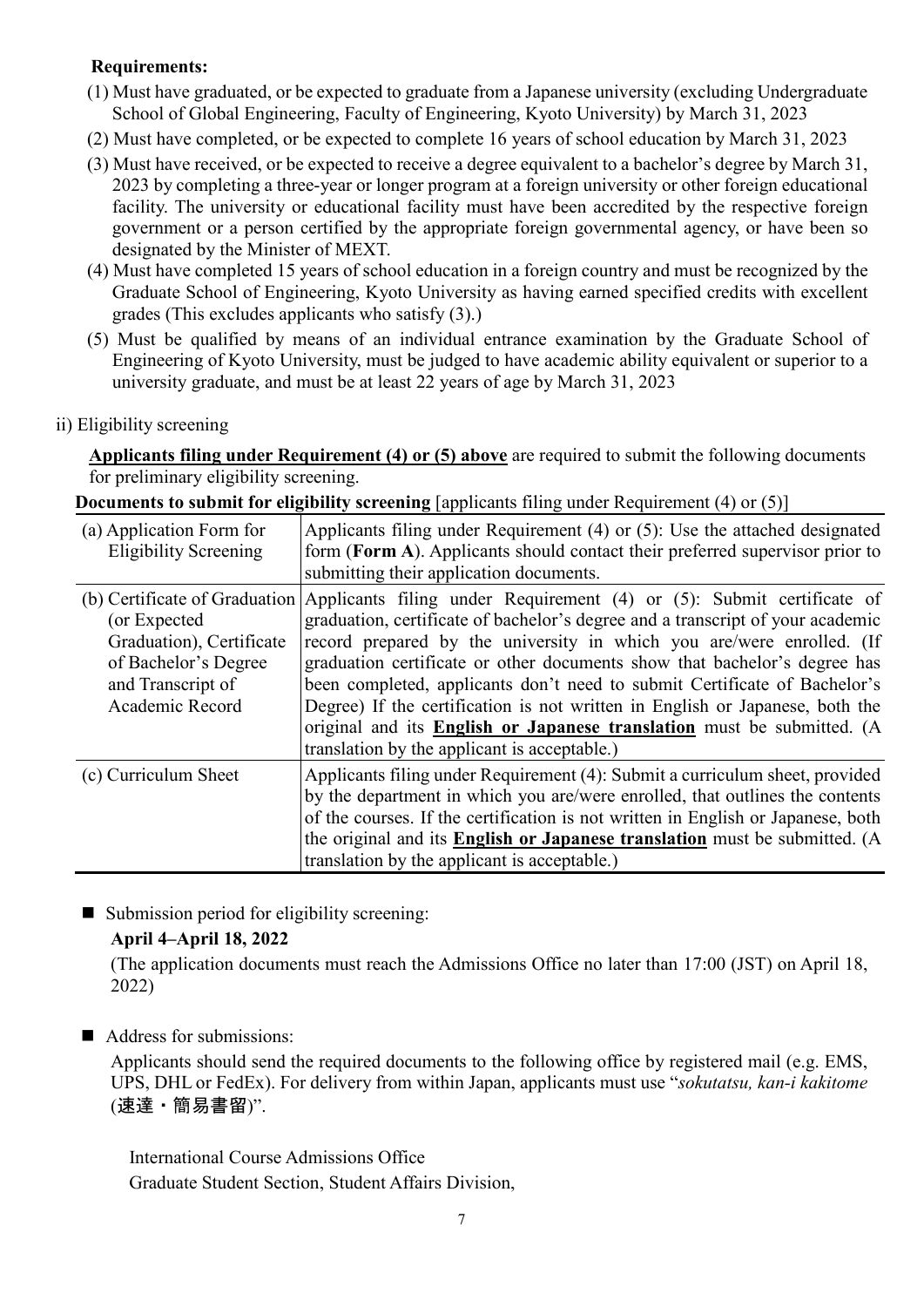## **Requirements:**

- (1) Must have graduated, or be expected to graduate from a Japanese university (excluding Undergraduate School of Global Engineering, Faculty of Engineering, Kyoto University) by March 31, 2023
- (2) Must have completed, or be expected to complete 16 years of school education by March 31, 2023
- (3) Must have received, or be expected to receive a degree equivalent to a bachelor's degree by March 31, 2023 by completing a three-year or longer program at a foreign university or other foreign educational facility. The university or educational facility must have been accredited by the respective foreign government or a person certified by the appropriate foreign governmental agency, or have been so designated by the Minister of MEXT.
- (4) Must have completed 15 years of school education in a foreign country and must be recognized by the Graduate School of Engineering, Kyoto University as having earned specified credits with excellent grades (This excludes applicants who satisfy (3).)
- (5) Must be qualified by means of an individual entrance examination by the Graduate School of Engineering of Kyoto University, must be judged to have academic ability equivalent or superior to a university graduate, and must be at least 22 years of age by March 31, 2023

#### ii) Eligibility screening

**Applicants filing under Requirement (4) or (5) above** are required to submit the following documents for preliminary eligibility screening.

**Documents to submit for eligibility screening** [applicants filing under Requirement (4) or (5)]

| (a) Application Form for<br><b>Eligibility Screening</b>                                                                                  | Applicants filing under Requirement (4) or (5): Use the attached designated<br>form (Form A). Applicants should contact their preferred supervisor prior to<br>submitting their application documents.                                                                                                                                                                                                                                                                                                                                                                                                      |
|-------------------------------------------------------------------------------------------------------------------------------------------|-------------------------------------------------------------------------------------------------------------------------------------------------------------------------------------------------------------------------------------------------------------------------------------------------------------------------------------------------------------------------------------------------------------------------------------------------------------------------------------------------------------------------------------------------------------------------------------------------------------|
| (b) Certificate of Graduation<br>(or Expected<br>Graduation), Certificate<br>of Bachelor's Degree<br>and Transcript of<br>Academic Record | Applicants filing under Requirement (4) or (5): Submit certificate of<br>graduation, certificate of bachelor's degree and a transcript of your academic<br>record prepared by the university in which you are/were enrolled. (If<br>graduation certificate or other documents show that bachelor's degree has<br>been completed, applicants don't need to submit Certificate of Bachelor's<br>Degree) If the certification is not written in English or Japanese, both the<br>original and its <b>English or Japanese translation</b> must be submitted. (A<br>translation by the applicant is acceptable.) |
| (c) Curriculum Sheet                                                                                                                      | Applicants filing under Requirement (4): Submit a curriculum sheet, provided<br>by the department in which you are/were enrolled, that outlines the contents<br>of the courses. If the certification is not written in English or Japanese, both<br>the original and its <b>English or Japanese translation</b> must be submitted. (A<br>translation by the applicant is acceptable.)                                                                                                                                                                                                                       |

■ Submission period for eligibility screening:

#### **April 4–April 18, 2022**

(The application documents must reach the Admissions Office no later than 17:00 (JST) on April 18, 2022)

#### Address for submissions:

Applicants should send the required documents to the following office by registered mail (e.g. EMS, UPS, DHL or FedEx). For delivery from within Japan, applicants must use "*sokutatsu, kan-i kakitome* (速達・簡易書留)".

International Course Admissions Office Graduate Student Section, Student Affairs Division,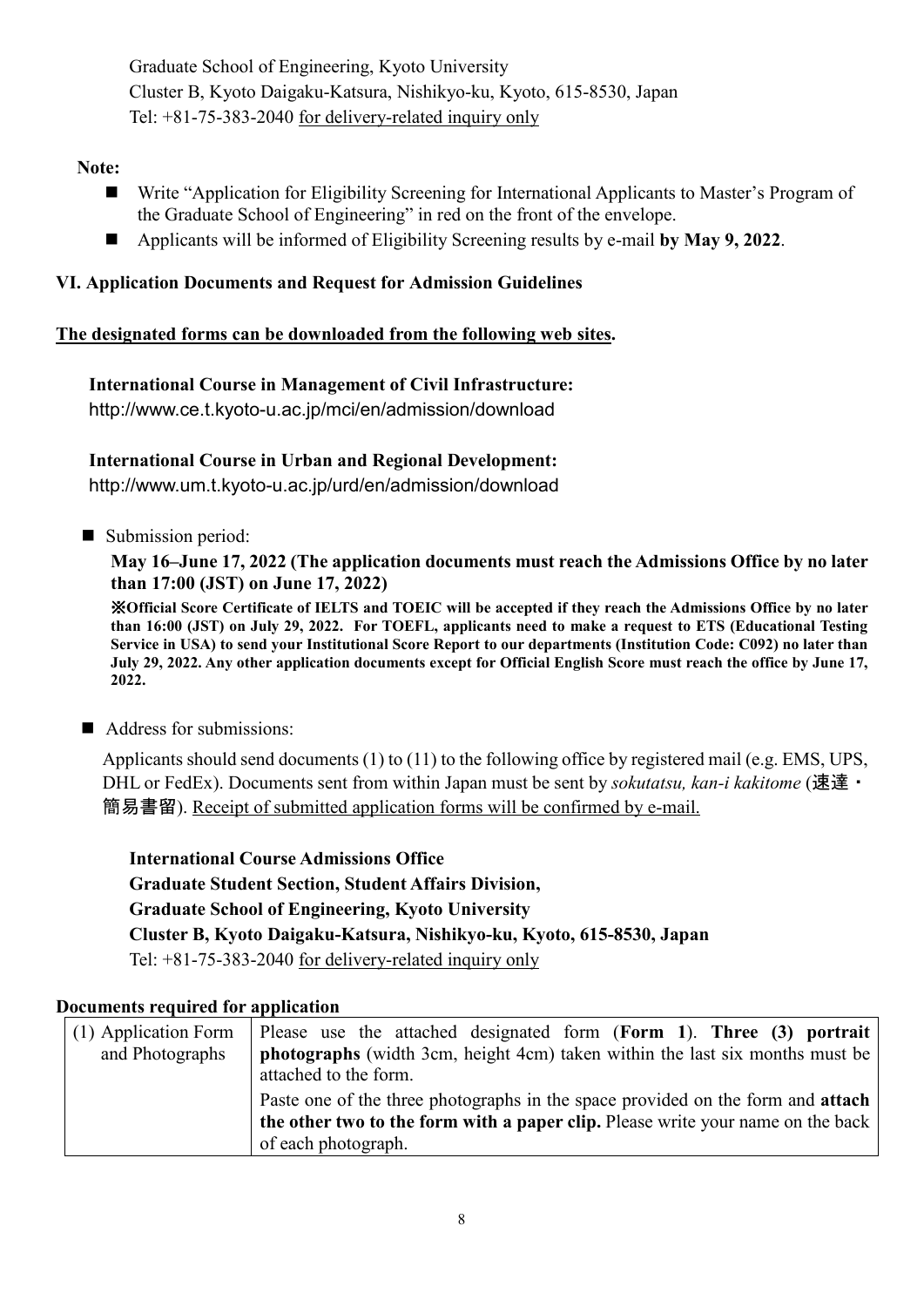Graduate School of Engineering, Kyoto University Cluster B, Kyoto Daigaku-Katsura, Nishikyo-ku, Kyoto, 615-8530, Japan Tel: +81-75-383-2040 for delivery-related inquiry only

## **Note:**

- Write "Application for Eligibility Screening for International Applicants to Master's Program of the Graduate School of Engineering" in red on the front of the envelope.
- Applicants will be informed of Eligibility Screening results by e-mail **by May 9, 2022**.

# **VI. Application Documents and Request for Admission Guidelines**

## **The designated forms can be downloaded from the following web sites.**

## **International Course in Management of Civil Infrastructure:**

http://www.ce.t.kyoto-u.ac.jp/mci/en/admission/download

# **International Course in Urban and Regional Development:**

http://www.um.t.kyoto-u.ac.jp/urd/en/admission/download

■ Submission period:

## **May 16–June 17, 2022 (The application documents must reach the Admissions Office by no later than 17:00 (JST) on June 17, 2022)**

※**Official Score Certificate of IELTS and TOEIC will be accepted if they reach the Admissions Office by no later than 16:00 (JST) on July 29, 2022. For TOEFL, applicants need to make a request to ETS (Educational Testing Service in USA) to send your Institutional Score Report to our departments (Institution Code: C092) no later than July 29, 2022. Any other application documents except for Official English Score must reach the office by June 17, 2022.**

# Address for submissions:

Applicants should send documents (1) to (11) to the following office by registered mail (e.g. EMS, UPS, DHL or FedEx). Documents sent from within Japan must be sent by *sokutatsu, kan-i kakitome* (速達・ 簡易書留). Receipt of submitted application forms will be confirmed by e-mail.

**International Course Admissions Office Graduate Student Section, Student Affairs Division, Graduate School of Engineering, Kyoto University Cluster B, Kyoto Daigaku-Katsura, Nishikyo-ku, Kyoto, 615-8530, Japan** Tel: +81-75-383-2040 for delivery-related inquiry only

#### **Documents required for application**

| (1) Application Form<br>and Photographs | Please use the attached designated form (Form 1). Three $(3)$ portrait<br><b>photographs</b> (width 3cm, height 4cm) taken within the last six months must be<br>attached to the form.           |
|-----------------------------------------|--------------------------------------------------------------------------------------------------------------------------------------------------------------------------------------------------|
|                                         | Paste one of the three photographs in the space provided on the form and <b>attach</b><br>the other two to the form with a paper clip. Please write your name on the back<br>of each photograph. |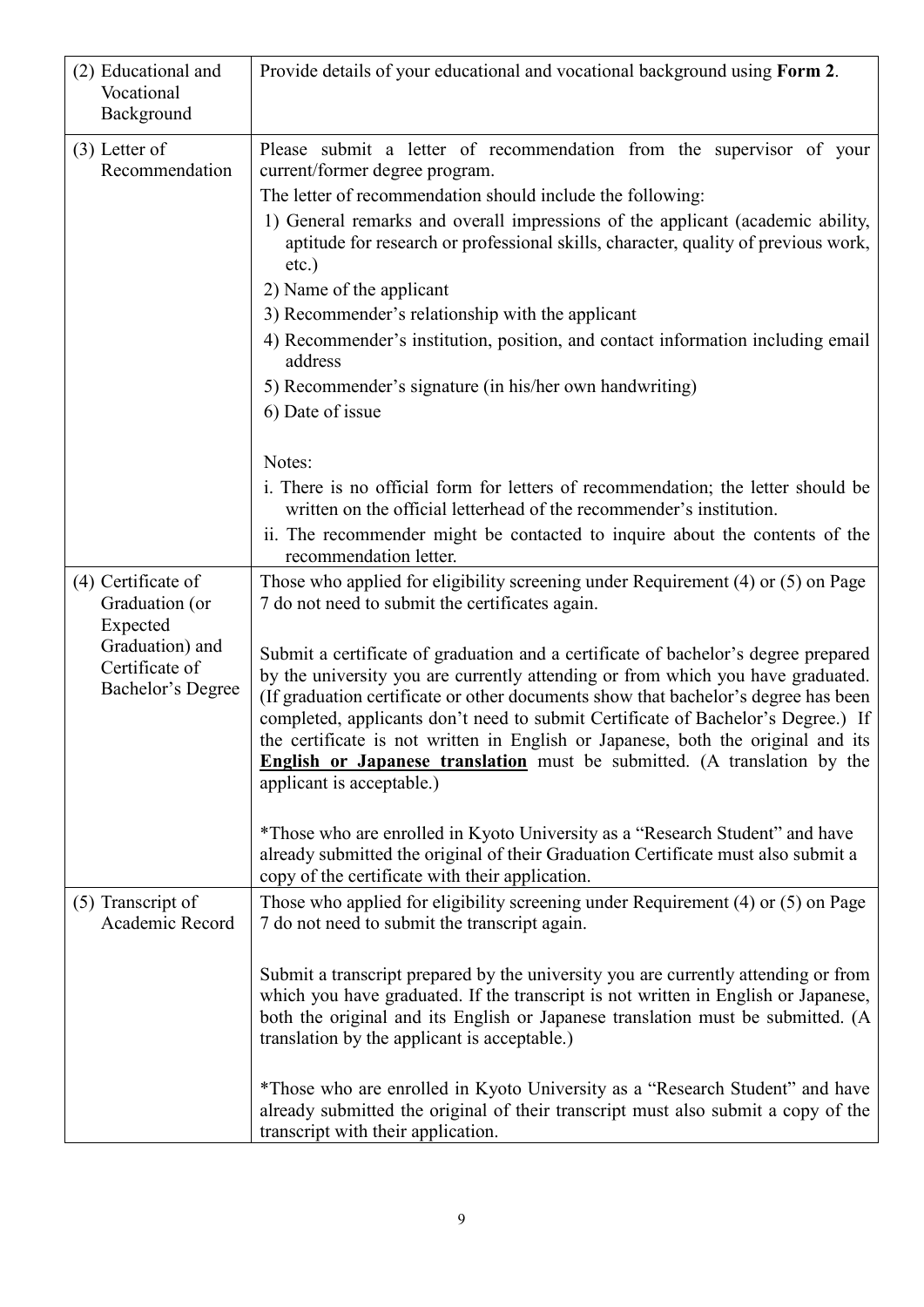| (2) Educational and<br>Vocational<br>Background                                                            | Provide details of your educational and vocational background using Form 2.                                                                                                                                                                                                                                                                                                                                                                                                                                                                                                                                                                                                                                                                                                |
|------------------------------------------------------------------------------------------------------------|----------------------------------------------------------------------------------------------------------------------------------------------------------------------------------------------------------------------------------------------------------------------------------------------------------------------------------------------------------------------------------------------------------------------------------------------------------------------------------------------------------------------------------------------------------------------------------------------------------------------------------------------------------------------------------------------------------------------------------------------------------------------------|
| $(3)$ Letter of<br>Recommendation                                                                          | Please submit a letter of recommendation from the supervisor of your<br>current/former degree program.<br>The letter of recommendation should include the following:<br>1) General remarks and overall impressions of the applicant (academic ability,<br>aptitude for research or professional skills, character, quality of previous work,<br>$etc.$ )<br>2) Name of the applicant<br>3) Recommender's relationship with the applicant<br>4) Recommender's institution, position, and contact information including email<br>address<br>5) Recommender's signature (in his/her own handwriting)<br>6) Date of issue                                                                                                                                                      |
|                                                                                                            | Notes:<br>i. There is no official form for letters of recommendation; the letter should be<br>written on the official letterhead of the recommender's institution.<br>ii. The recommender might be contacted to inquire about the contents of the<br>recommendation letter.                                                                                                                                                                                                                                                                                                                                                                                                                                                                                                |
| (4) Certificate of<br>Graduation (or<br>Expected<br>Graduation) and<br>Certificate of<br>Bachelor's Degree | Those who applied for eligibility screening under Requirement (4) or (5) on Page<br>7 do not need to submit the certificates again.<br>Submit a certificate of graduation and a certificate of bachelor's degree prepared<br>by the university you are currently attending or from which you have graduated.<br>(If graduation certificate or other documents show that bachelor's degree has been<br>completed, applicants don't need to submit Certificate of Bachelor's Degree.) If<br>the certificate is not written in English or Japanese, both the original and its<br><b>English or Japanese translation</b> must be submitted. (A translation by the<br>applicant is acceptable.)<br>*Those who are enrolled in Kyoto University as a "Research Student" and have |
|                                                                                                            | already submitted the original of their Graduation Certificate must also submit a<br>copy of the certificate with their application.                                                                                                                                                                                                                                                                                                                                                                                                                                                                                                                                                                                                                                       |
| (5) Transcript of<br>Academic Record                                                                       | Those who applied for eligibility screening under Requirement (4) or (5) on Page<br>7 do not need to submit the transcript again.<br>Submit a transcript prepared by the university you are currently attending or from<br>which you have graduated. If the transcript is not written in English or Japanese,<br>both the original and its English or Japanese translation must be submitted. (A<br>translation by the applicant is acceptable.)                                                                                                                                                                                                                                                                                                                           |
|                                                                                                            | *Those who are enrolled in Kyoto University as a "Research Student" and have<br>already submitted the original of their transcript must also submit a copy of the<br>transcript with their application.                                                                                                                                                                                                                                                                                                                                                                                                                                                                                                                                                                    |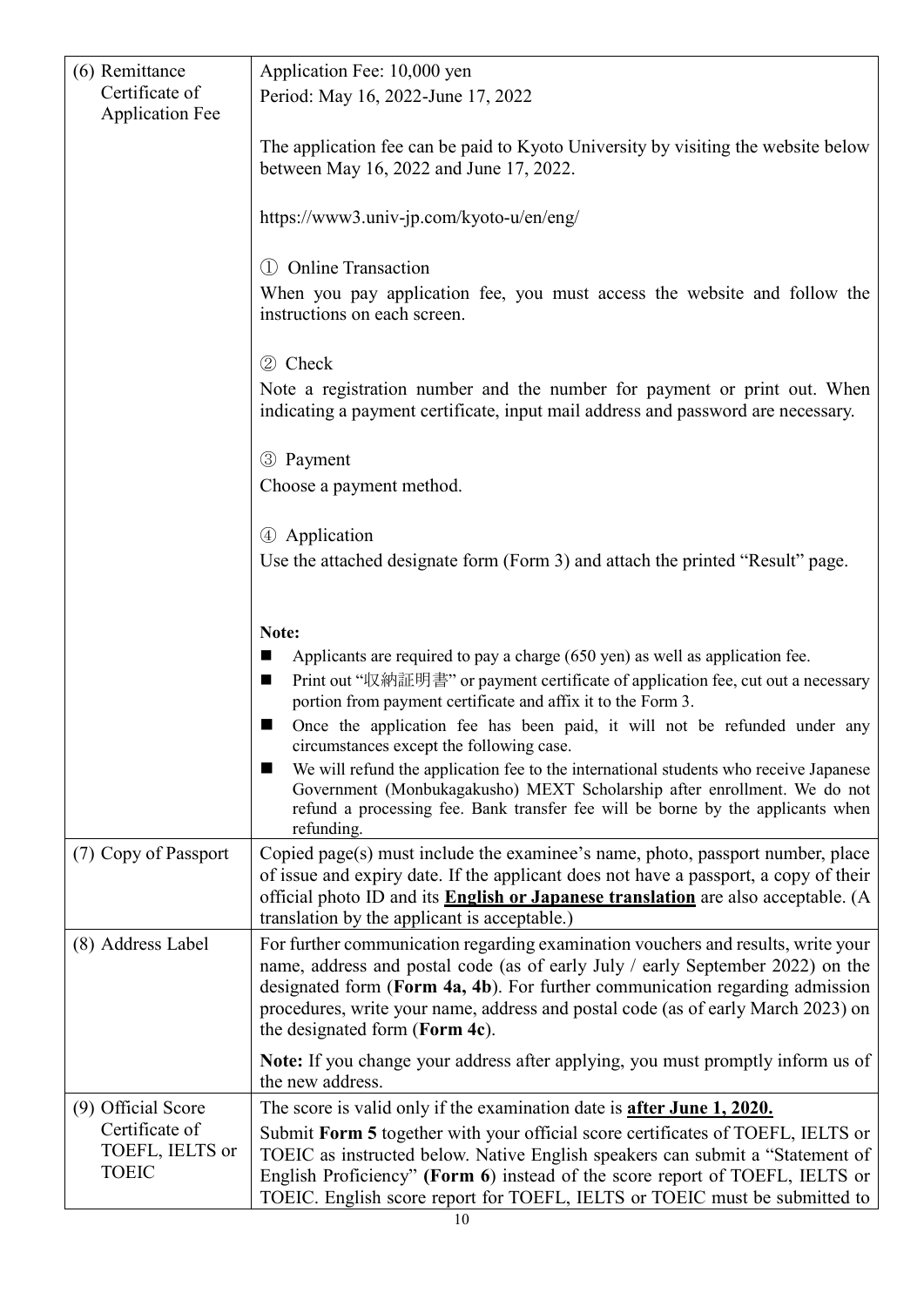| (6) Remittance<br>Certificate of<br><b>Application Fee</b>              | Application Fee: 10,000 yen<br>Period: May 16, 2022-June 17, 2022                                                                                                                                                                                                                                                                                                                                               |
|-------------------------------------------------------------------------|-----------------------------------------------------------------------------------------------------------------------------------------------------------------------------------------------------------------------------------------------------------------------------------------------------------------------------------------------------------------------------------------------------------------|
|                                                                         | The application fee can be paid to Kyoto University by visiting the website below<br>between May 16, 2022 and June 17, 2022.                                                                                                                                                                                                                                                                                    |
|                                                                         | https://www3.univ-jp.com/kyoto-u/en/eng/                                                                                                                                                                                                                                                                                                                                                                        |
|                                                                         | 1 Online Transaction<br>When you pay application fee, you must access the website and follow the<br>instructions on each screen.                                                                                                                                                                                                                                                                                |
|                                                                         | 2 Check<br>Note a registration number and the number for payment or print out. When<br>indicating a payment certificate, input mail address and password are necessary.                                                                                                                                                                                                                                         |
|                                                                         | 3 Payment<br>Choose a payment method.                                                                                                                                                                                                                                                                                                                                                                           |
|                                                                         | 4 Application<br>Use the attached designate form (Form 3) and attach the printed "Result" page.                                                                                                                                                                                                                                                                                                                 |
|                                                                         | Note:<br>Applicants are required to pay a charge (650 yen) as well as application fee.<br>■<br>Print out "収納証明書" or payment certificate of application fee, cut out a necessary<br>■<br>portion from payment certificate and affix it to the Form 3.                                                                                                                                                            |
|                                                                         | Once the application fee has been paid, it will not be refunded under any<br>circumstances except the following case.                                                                                                                                                                                                                                                                                           |
|                                                                         | We will refund the application fee to the international students who receive Japanese<br>Government (Monbukagakusho) MEXT Scholarship after enrollment. We do not<br>refund a processing fee. Bank transfer fee will be borne by the applicants when<br>refunding.                                                                                                                                              |
| (7) Copy of Passport                                                    | Copied page(s) must include the examinee's name, photo, passport number, place<br>of issue and expiry date. If the applicant does not have a passport, a copy of their<br>official photo ID and its <b>English or Japanese translation</b> are also acceptable. (A<br>translation by the applicant is acceptable.)                                                                                              |
| (8) Address Label                                                       | For further communication regarding examination vouchers and results, write your<br>name, address and postal code (as of early July / early September 2022) on the<br>designated form (Form 4a, 4b). For further communication regarding admission<br>procedures, write your name, address and postal code (as of early March 2023) on<br>the designated form (Form 4c).                                        |
|                                                                         | Note: If you change your address after applying, you must promptly inform us of<br>the new address.                                                                                                                                                                                                                                                                                                             |
| (9) Official Score<br>Certificate of<br>TOEFL, IELTS or<br><b>TOEIC</b> | The score is valid only if the examination date is <b>after June 1, 2020.</b><br>Submit Form 5 together with your official score certificates of TOEFL, IELTS or<br>TOEIC as instructed below. Native English speakers can submit a "Statement of<br>English Proficiency" (Form 6) instead of the score report of TOEFL, IELTS or<br>TOEIC. English score report for TOEFL, IELTS or TOEIC must be submitted to |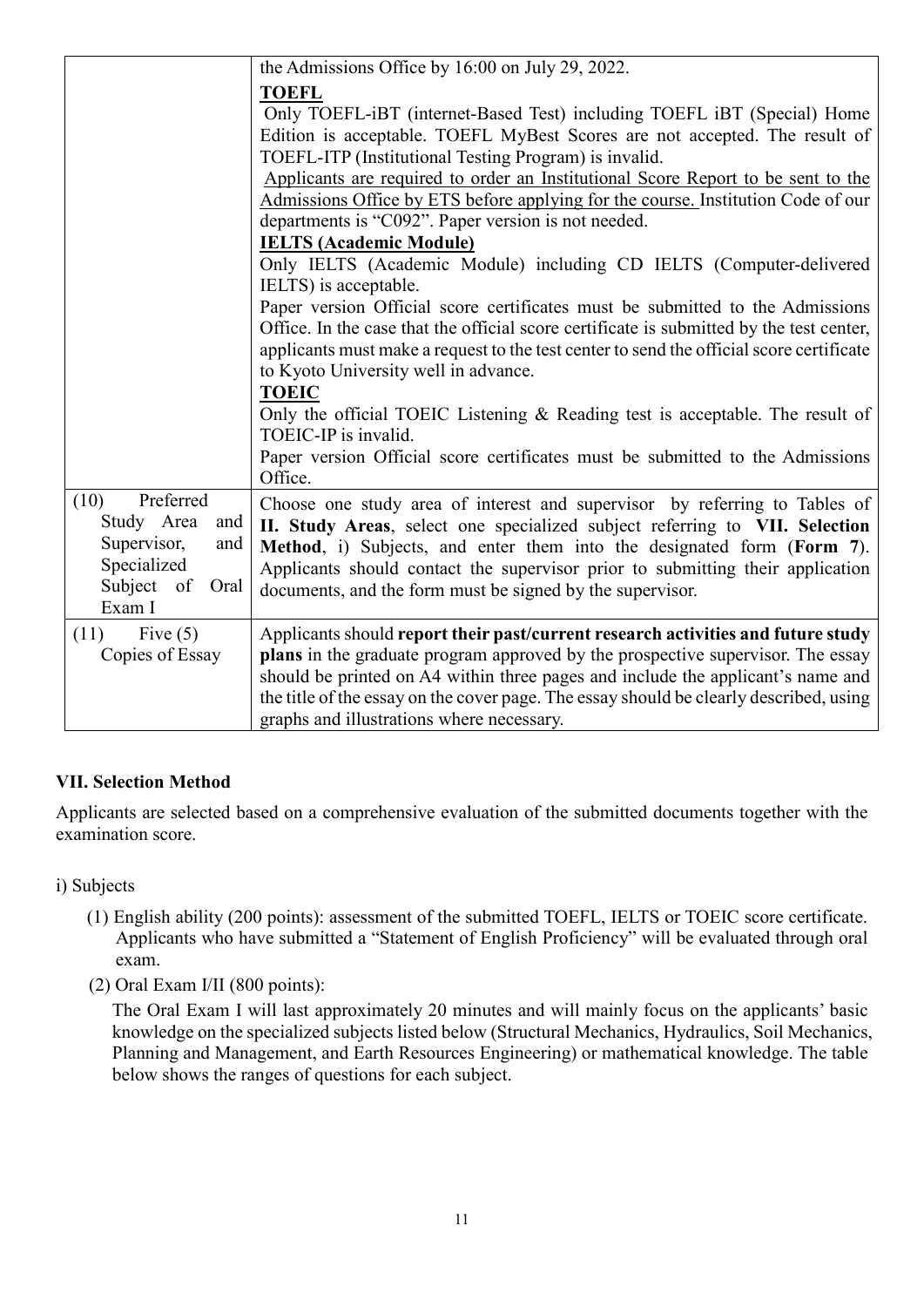|                                                                                                             | the Admissions Office by 16:00 on July $29, 2022$ .                                                                                                                                                                                                                                                                                                                                                                                                                                                                                                                                                                                                                                                                                                                                                                                                                                                                              |
|-------------------------------------------------------------------------------------------------------------|----------------------------------------------------------------------------------------------------------------------------------------------------------------------------------------------------------------------------------------------------------------------------------------------------------------------------------------------------------------------------------------------------------------------------------------------------------------------------------------------------------------------------------------------------------------------------------------------------------------------------------------------------------------------------------------------------------------------------------------------------------------------------------------------------------------------------------------------------------------------------------------------------------------------------------|
|                                                                                                             | <b>TOEFL</b><br>Only TOEFL-iBT (internet-Based Test) including TOEFL iBT (Special) Home<br>Edition is acceptable. TOEFL MyBest Scores are not accepted. The result of<br>TOEFL-ITP (Institutional Testing Program) is invalid.<br>Applicants are required to order an Institutional Score Report to be sent to the<br>Admissions Office by ETS before applying for the course. Institution Code of our<br>departments is "C092". Paper version is not needed.<br><b>IELTS (Academic Module)</b><br>Only IELTS (Academic Module) including CD IELTS (Computer-delivered<br>IELTS) is acceptable.<br>Paper version Official score certificates must be submitted to the Admissions<br>Office. In the case that the official score certificate is submitted by the test center,<br>applicants must make a request to the test center to send the official score certificate<br>to Kyoto University well in advance.<br><b>TOEIC</b> |
|                                                                                                             | Only the official TOEIC Listening & Reading test is acceptable. The result of<br>TOEIC-IP is invalid.<br>Paper version Official score certificates must be submitted to the Admissions<br>Office.                                                                                                                                                                                                                                                                                                                                                                                                                                                                                                                                                                                                                                                                                                                                |
| Preferred<br>(10)<br>Study Area<br>and<br>Supervisor,<br>and<br>Specialized<br>Subject of<br>Oral<br>Exam I | Choose one study area of interest and supervisor by referring to Tables of<br>II. Study Areas, select one specialized subject referring to VII. Selection<br>Method, i) Subjects, and enter them into the designated form (Form 7).<br>Applicants should contact the supervisor prior to submitting their application<br>documents, and the form must be signed by the supervisor.                                                                                                                                                                                                                                                                                                                                                                                                                                                                                                                                               |
| Five $(5)$<br>(11)<br>Copies of Essay                                                                       | Applicants should report their past/current research activities and future study<br>plans in the graduate program approved by the prospective supervisor. The essay<br>should be printed on A4 within three pages and include the applicant's name and<br>the title of the essay on the cover page. The essay should be clearly described, using<br>graphs and illustrations where necessary.                                                                                                                                                                                                                                                                                                                                                                                                                                                                                                                                    |

# **VII. Selection Method**

Applicants are selected based on a comprehensive evaluation of the submitted documents together with the examination score.

- i) Subjects
	- (1) English ability (200 points): assessment of the submitted TOEFL, IELTS or TOEIC score certificate. Applicants who have submitted a "Statement of English Proficiency" will be evaluated through oral exam.
	- (2) Oral Exam I/II (800 points):

The Oral Exam I will last approximately 20 minutes and will mainly focus on the applicants' basic knowledge on the specialized subjects listed below (Structural Mechanics, Hydraulics, Soil Mechanics, Planning and Management, and Earth Resources Engineering) or mathematical knowledge. The table below shows the ranges of questions for each subject.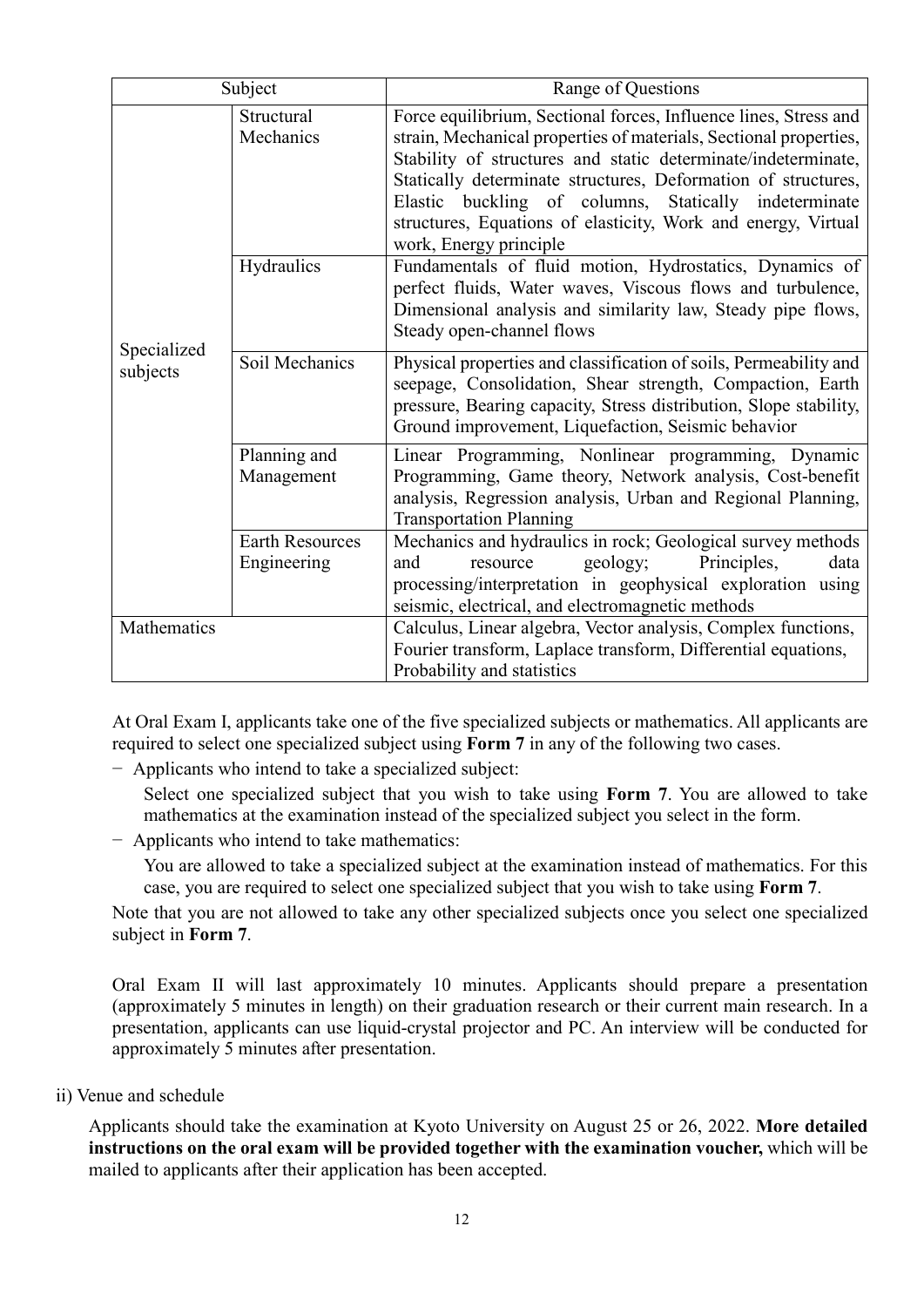| Subject                 |                                       | Range of Questions                                                                                                                                                                                                                                                                                                                                                                                                          |  |
|-------------------------|---------------------------------------|-----------------------------------------------------------------------------------------------------------------------------------------------------------------------------------------------------------------------------------------------------------------------------------------------------------------------------------------------------------------------------------------------------------------------------|--|
|                         | Structural<br>Mechanics               | Force equilibrium, Sectional forces, Influence lines, Stress and<br>strain, Mechanical properties of materials, Sectional properties,<br>Stability of structures and static determinate/indeterminate,<br>Statically determinate structures, Deformation of structures,<br>Elastic buckling of columns, Statically indeterminate<br>structures, Equations of elasticity, Work and energy, Virtual<br>work, Energy principle |  |
|                         | Hydraulics                            | Fundamentals of fluid motion, Hydrostatics, Dynamics of<br>perfect fluids, Water waves, Viscous flows and turbulence,<br>Dimensional analysis and similarity law, Steady pipe flows,<br>Steady open-channel flows                                                                                                                                                                                                           |  |
| Specialized<br>subjects | Soil Mechanics                        | Physical properties and classification of soils, Permeability and<br>seepage, Consolidation, Shear strength, Compaction, Earth<br>pressure, Bearing capacity, Stress distribution, Slope stability,<br>Ground improvement, Liquefaction, Seismic behavior                                                                                                                                                                   |  |
|                         | Planning and<br>Management            | Linear Programming, Nonlinear programming, Dynamic<br>Programming, Game theory, Network analysis, Cost-benefit<br>analysis, Regression analysis, Urban and Regional Planning,<br><b>Transportation Planning</b>                                                                                                                                                                                                             |  |
|                         | <b>Earth Resources</b><br>Engineering | Mechanics and hydraulics in rock; Geological survey methods<br>Principles,<br>geology;<br>and<br>resource<br>data<br>processing/interpretation in geophysical exploration using<br>seismic, electrical, and electromagnetic methods                                                                                                                                                                                         |  |
| Mathematics             |                                       | Calculus, Linear algebra, Vector analysis, Complex functions,<br>Fourier transform, Laplace transform, Differential equations,<br>Probability and statistics                                                                                                                                                                                                                                                                |  |

At Oral Exam I, applicants take one of the five specialized subjects or mathematics. All applicants are required to select one specialized subject using **Form 7** in any of the following two cases.

− Applicants who intend to take a specialized subject:

Select one specialized subject that you wish to take using **Form 7**. You are allowed to take mathematics at the examination instead of the specialized subject you select in the form.

− Applicants who intend to take mathematics:

You are allowed to take a specialized subject at the examination instead of mathematics. For this case, you are required to select one specialized subject that you wish to take using **Form 7**.

Note that you are not allowed to take any other specialized subjects once you select one specialized subject in **Form 7**.

Oral Exam II will last approximately 10 minutes. Applicants should prepare a presentation (approximately 5 minutes in length) on their graduation research or their current main research. In a presentation, applicants can use liquid-crystal projector and PC. An interview will be conducted for approximately 5 minutes after presentation.

ii) Venue and schedule

Applicants should take the examination at Kyoto University on August 25 or 26, 2022. **More detailed instructions on the oral exam will be provided together with the examination voucher,** which will be mailed to applicants after their application has been accepted.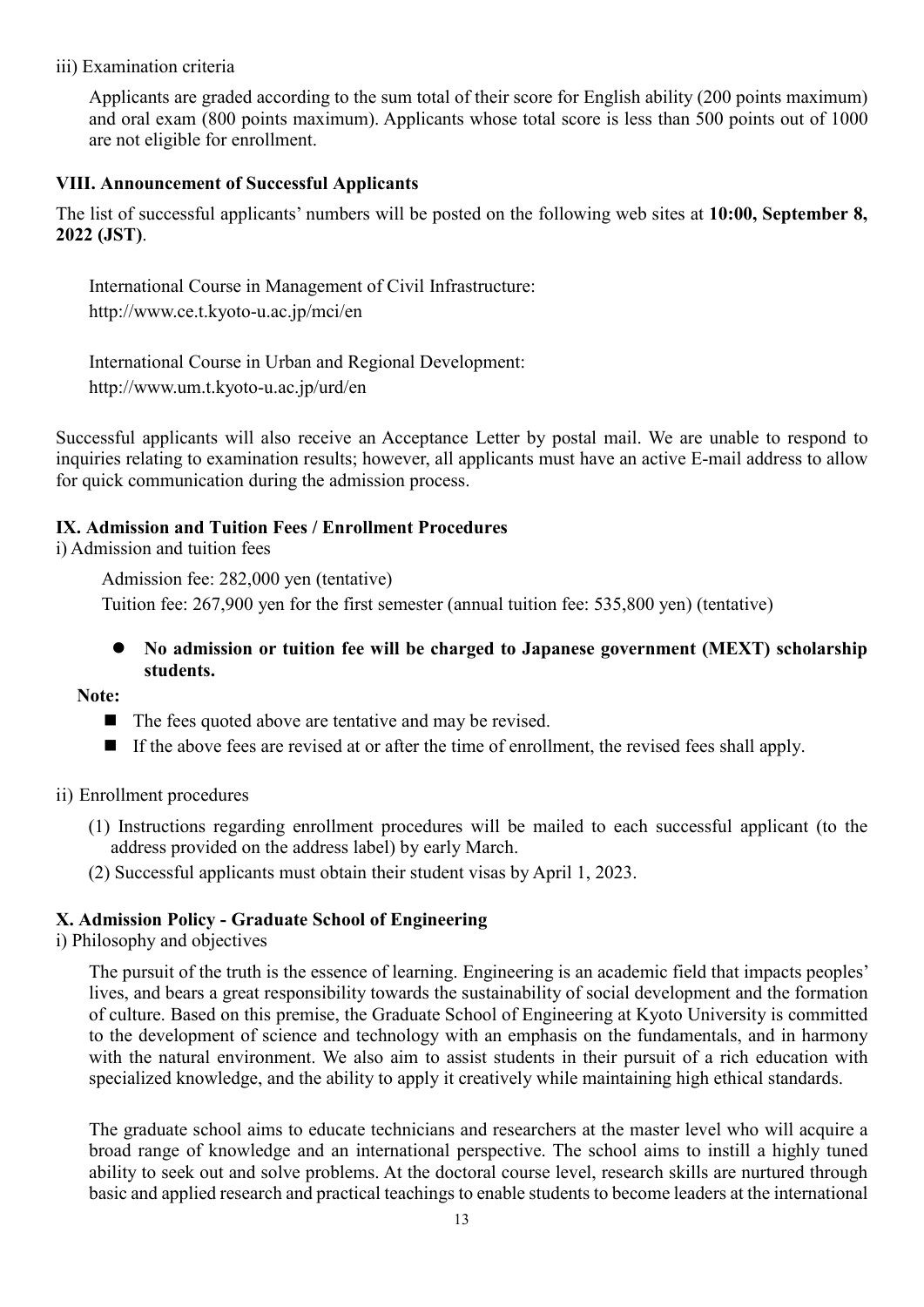iii) Examination criteria

Applicants are graded according to the sum total of their score for English ability (200 points maximum) and oral exam (800 points maximum). Applicants whose total score is less than 500 points out of 1000 are not eligible for enrollment.

#### **VIII. Announcement of Successful Applicants**

The list of successful applicants' numbers will be posted on the following web sites at **10:00, September 8, 2022 (JST)**.

International Course in Management of Civil Infrastructure: http://www.ce.t.kyoto-u.ac.jp/mci/en

International Course in Urban and Regional Development: http://www.um.t.kyoto-u.ac.jp/urd/en

Successful applicants will also receive an Acceptance Letter by postal mail. We are unable to respond to inquiries relating to examination results; however, all applicants must have an active E-mail address to allow for quick communication during the admission process.

#### **IX. Admission and Tuition Fees / Enrollment Procedures**

i) Admission and tuition fees

Admission fee: 282,000 yen (tentative) Tuition fee: 267,900 yen for the first semester (annual tuition fee: 535,800 yen) (tentative)

 **No admission or tuition fee will be charged to Japanese government (MEXT) scholarship students.**

**Note:**

- $\blacksquare$  The fees quoted above are tentative and may be revised.
- If the above fees are revised at or after the time of enrollment, the revised fees shall apply.
- ii) Enrollment procedures
	- (1) Instructions regarding enrollment procedures will be mailed to each successful applicant (to the address provided on the address label) by early March.
	- (2) Successful applicants must obtain their student visas by April 1, 2023.

#### **X. Admission Policy - Graduate School of Engineering**

i) Philosophy and objectives

The pursuit of the truth is the essence of learning. Engineering is an academic field that impacts peoples' lives, and bears a great responsibility towards the sustainability of social development and the formation of culture. Based on this premise, the Graduate School of Engineering at Kyoto University is committed to the development of science and technology with an emphasis on the fundamentals, and in harmony with the natural environment. We also aim to assist students in their pursuit of a rich education with specialized knowledge, and the ability to apply it creatively while maintaining high ethical standards.

The graduate school aims to educate technicians and researchers at the master level who will acquire a broad range of knowledge and an international perspective. The school aims to instill a highly tuned ability to seek out and solve problems. At the doctoral course level, research skills are nurtured through basic and applied research and practical teachings to enable students to become leaders at the international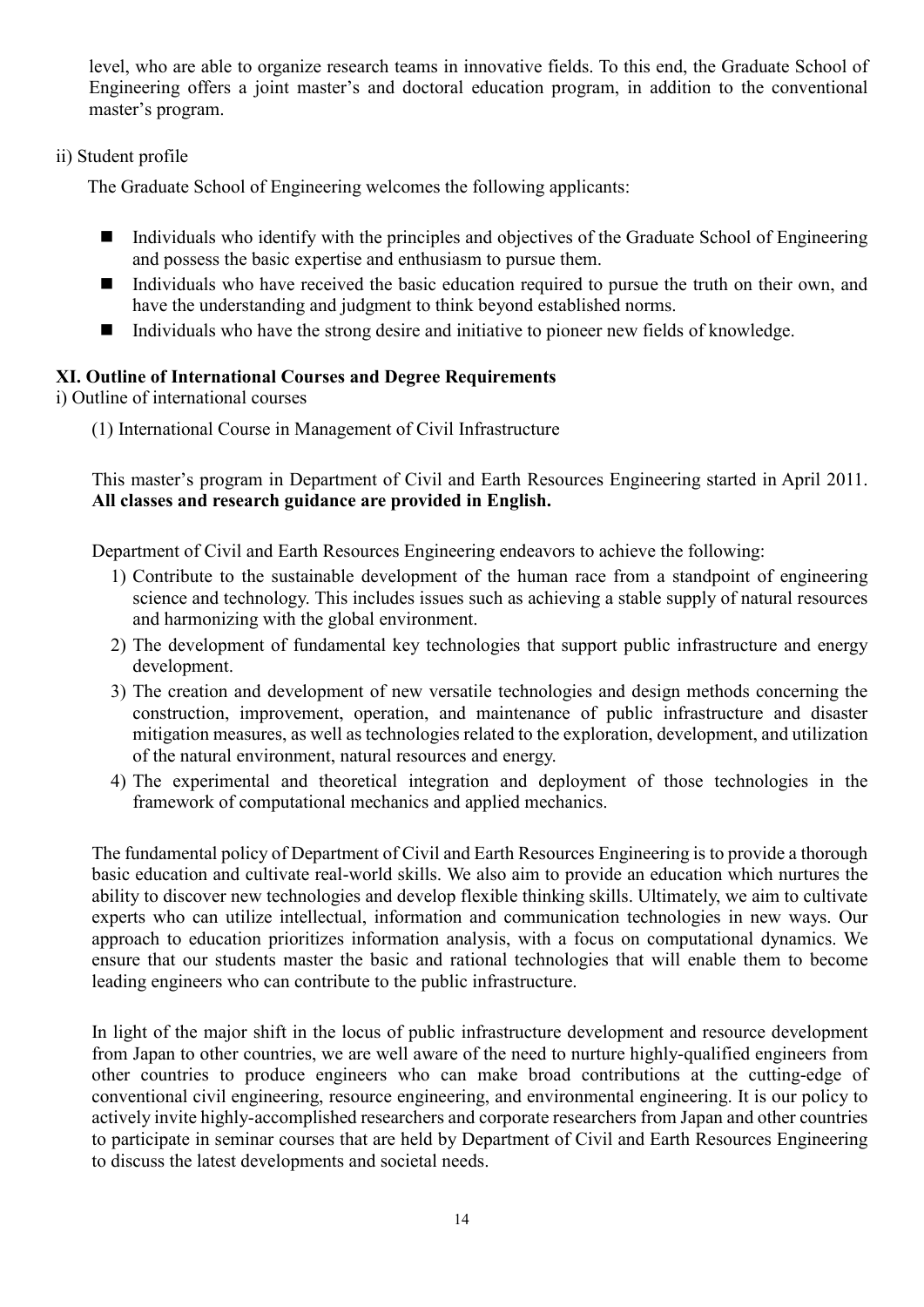level, who are able to organize research teams in innovative fields. To this end, the Graduate School of Engineering offers a joint master's and doctoral education program, in addition to the conventional master's program.

#### ii) Student profile

The Graduate School of Engineering welcomes the following applicants:

- $\blacksquare$  Individuals who identify with the principles and objectives of the Graduate School of Engineering and possess the basic expertise and enthusiasm to pursue them.
- Individuals who have received the basic education required to pursue the truth on their own, and have the understanding and judgment to think beyond established norms.
- Individuals who have the strong desire and initiative to pioneer new fields of knowledge.

## **XI. Outline of International Courses and Degree Requirements**

i) Outline of international courses

(1) International Course in Management of Civil Infrastructure

This master's program in Department of Civil and Earth Resources Engineering started in April 2011. **All classes and research guidance are provided in English.**

Department of Civil and Earth Resources Engineering endeavors to achieve the following:

- 1) Contribute to the sustainable development of the human race from a standpoint of engineering science and technology. This includes issues such as achieving a stable supply of natural resources and harmonizing with the global environment.
- 2) The development of fundamental key technologies that support public infrastructure and energy development.
- 3) The creation and development of new versatile technologies and design methods concerning the construction, improvement, operation, and maintenance of public infrastructure and disaster mitigation measures, as well as technologies related to the exploration, development, and utilization of the natural environment, natural resources and energy.
- 4) The experimental and theoretical integration and deployment of those technologies in the framework of computational mechanics and applied mechanics.

The fundamental policy of Department of Civil and Earth Resources Engineering is to provide a thorough basic education and cultivate real-world skills. We also aim to provide an education which nurtures the ability to discover new technologies and develop flexible thinking skills. Ultimately, we aim to cultivate experts who can utilize intellectual, information and communication technologies in new ways. Our approach to education prioritizes information analysis, with a focus on computational dynamics. We ensure that our students master the basic and rational technologies that will enable them to become leading engineers who can contribute to the public infrastructure.

In light of the major shift in the locus of public infrastructure development and resource development from Japan to other countries, we are well aware of the need to nurture highly-qualified engineers from other countries to produce engineers who can make broad contributions at the cutting-edge of conventional civil engineering, resource engineering, and environmental engineering. It is our policy to actively invite highly-accomplished researchers and corporate researchers from Japan and other countries to participate in seminar courses that are held by Department of Civil and Earth Resources Engineering to discuss the latest developments and societal needs.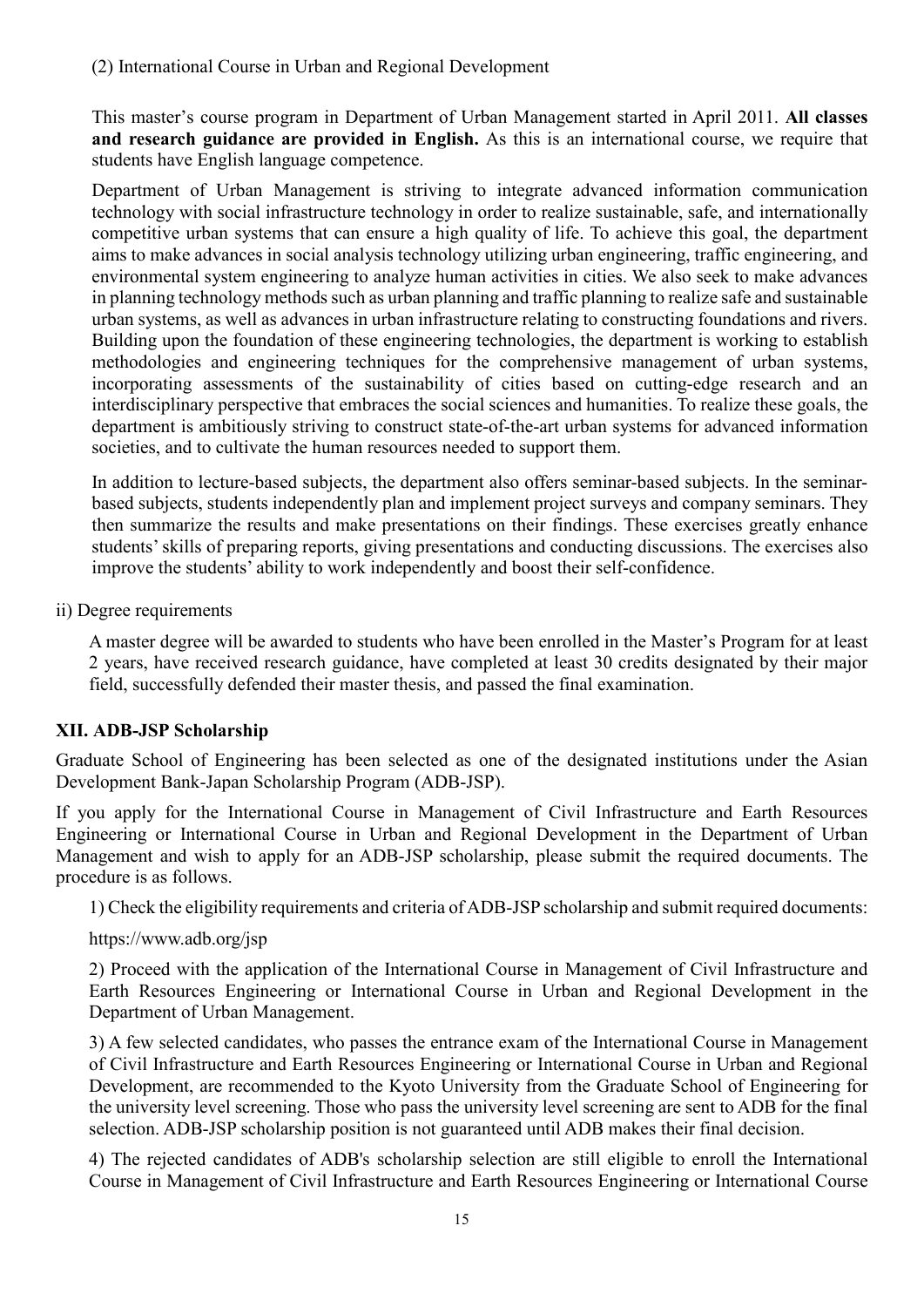This master's course program in Department of Urban Management started in April 2011. **All classes and research guidance are provided in English.** As this is an international course, we require that students have English language competence.

Department of Urban Management is striving to integrate advanced information communication technology with social infrastructure technology in order to realize sustainable, safe, and internationally competitive urban systems that can ensure a high quality of life. To achieve this goal, the department aims to make advances in social analysis technology utilizing urban engineering, traffic engineering, and environmental system engineering to analyze human activities in cities. We also seek to make advances in planning technology methods such as urban planning and traffic planning to realize safe and sustainable urban systems, as well as advances in urban infrastructure relating to constructing foundations and rivers. Building upon the foundation of these engineering technologies, the department is working to establish methodologies and engineering techniques for the comprehensive management of urban systems, incorporating assessments of the sustainability of cities based on cutting-edge research and an interdisciplinary perspective that embraces the social sciences and humanities. To realize these goals, the department is ambitiously striving to construct state-of-the-art urban systems for advanced information societies, and to cultivate the human resources needed to support them.

In addition to lecture-based subjects, the department also offers seminar-based subjects. In the seminarbased subjects, students independently plan and implement project surveys and company seminars. They then summarize the results and make presentations on their findings. These exercises greatly enhance students' skills of preparing reports, giving presentations and conducting discussions. The exercises also improve the students' ability to work independently and boost their self-confidence.

ii) Degree requirements

A master degree will be awarded to students who have been enrolled in the Master's Program for at least 2 years, have received research guidance, have completed at least 30 credits designated by their major field, successfully defended their master thesis, and passed the final examination.

# **XII. ADB-JSP Scholarship**

Graduate School of Engineering has been selected as one of the designated institutions under the Asian Development Bank-Japan Scholarship Program (ADB-JSP).

If you apply for the International Course in Management of Civil Infrastructure and Earth Resources Engineering or International Course in Urban and Regional Development in the Department of Urban Management and wish to apply for an ADB-JSP scholarship, please submit the required documents. The procedure is as follows.

1) Check the eligibility requirements and criteria of ADB-JSP scholarship and submit required documents:

#### https://www.adb.org/jsp

2) Proceed with the application of the International Course in Management of Civil Infrastructure and Earth Resources Engineering or International Course in Urban and Regional Development in the Department of Urban Management.

3) A few selected candidates, who passes the entrance exam of the International Course in Management of Civil Infrastructure and Earth Resources Engineering or International Course in Urban and Regional Development, are recommended to the Kyoto University from the Graduate School of Engineering for the university level screening. Those who pass the university level screening are sent to ADB for the final selection. ADB-JSP scholarship position is not guaranteed until ADB makes their final decision.

4) The rejected candidates of ADB's scholarship selection are still eligible to enroll the International Course in Management of Civil Infrastructure and Earth Resources Engineering or International Course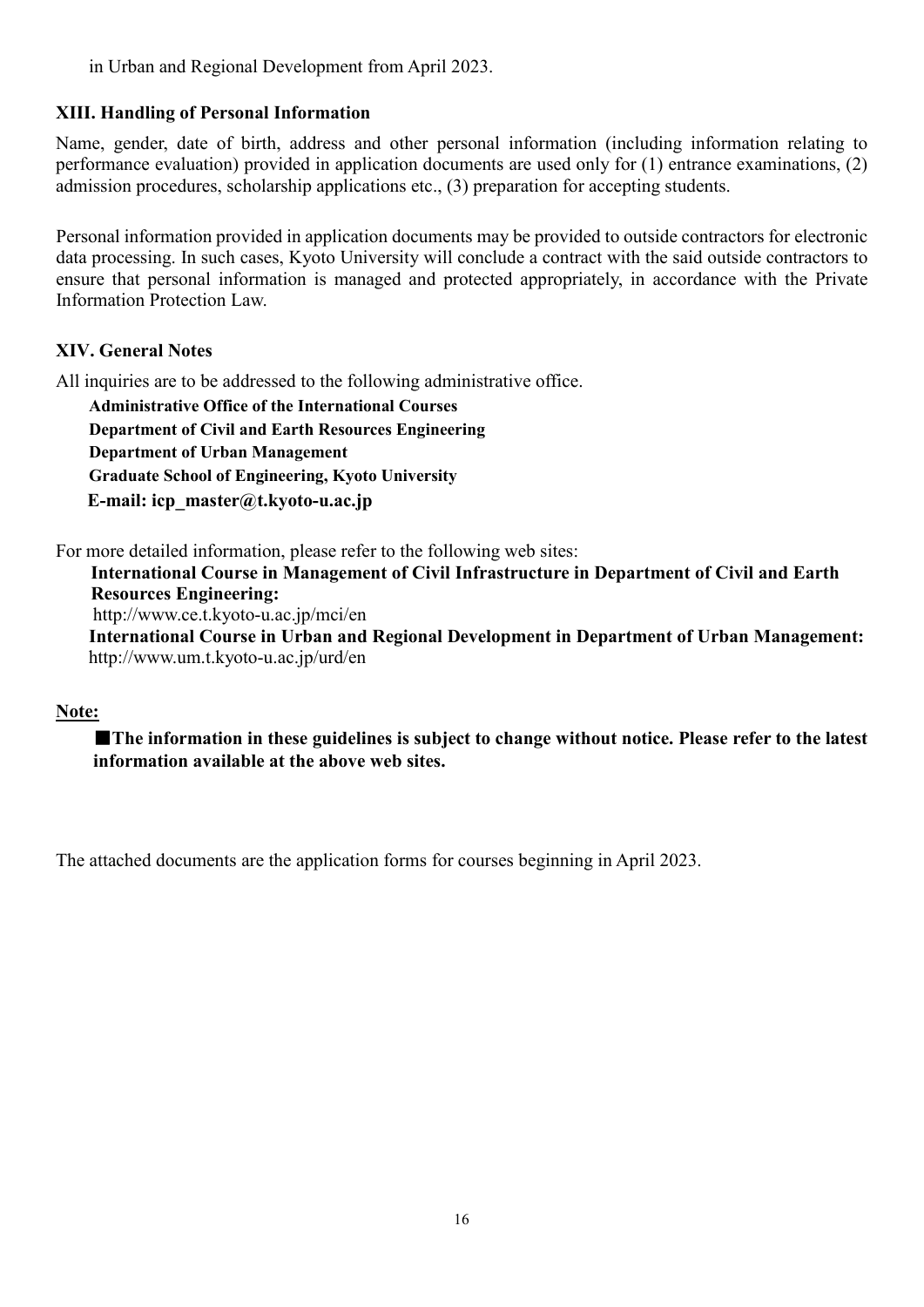in Urban and Regional Development from April 2023.

#### **XIII. Handling of Personal Information**

Name, gender, date of birth, address and other personal information (including information relating to performance evaluation) provided in application documents are used only for (1) entrance examinations, (2) admission procedures, scholarship applications etc., (3) preparation for accepting students.

Personal information provided in application documents may be provided to outside contractors for electronic data processing. In such cases, Kyoto University will conclude a contract with the said outside contractors to ensure that personal information is managed and protected appropriately, in accordance with the Private Information Protection Law.

#### **XIV. General Notes**

All inquiries are to be addressed to the following administrative office.

**Administrative Office of the International Courses Department of Civil and Earth Resources Engineering Department of Urban Management Graduate School of Engineering, Kyoto University E-mail: icp\_master@t.kyoto-u.ac.jp**

For more detailed information, please refer to the following web sites:

**International Course in Management of Civil Infrastructure in Department of Civil and Earth Resources Engineering:**

http://www.ce.t.kyoto-u.ac.jp/mci/en

**International Course in Urban and Regional Development in Department of Urban Management:** http://www.um.t.kyoto-u.ac.jp/urd/en

#### **Note:**

■**The information in these guidelines is subject to change without notice. Please refer to the latest information available at the above web sites.**

The attached documents are the application forms for courses beginning in April 2023.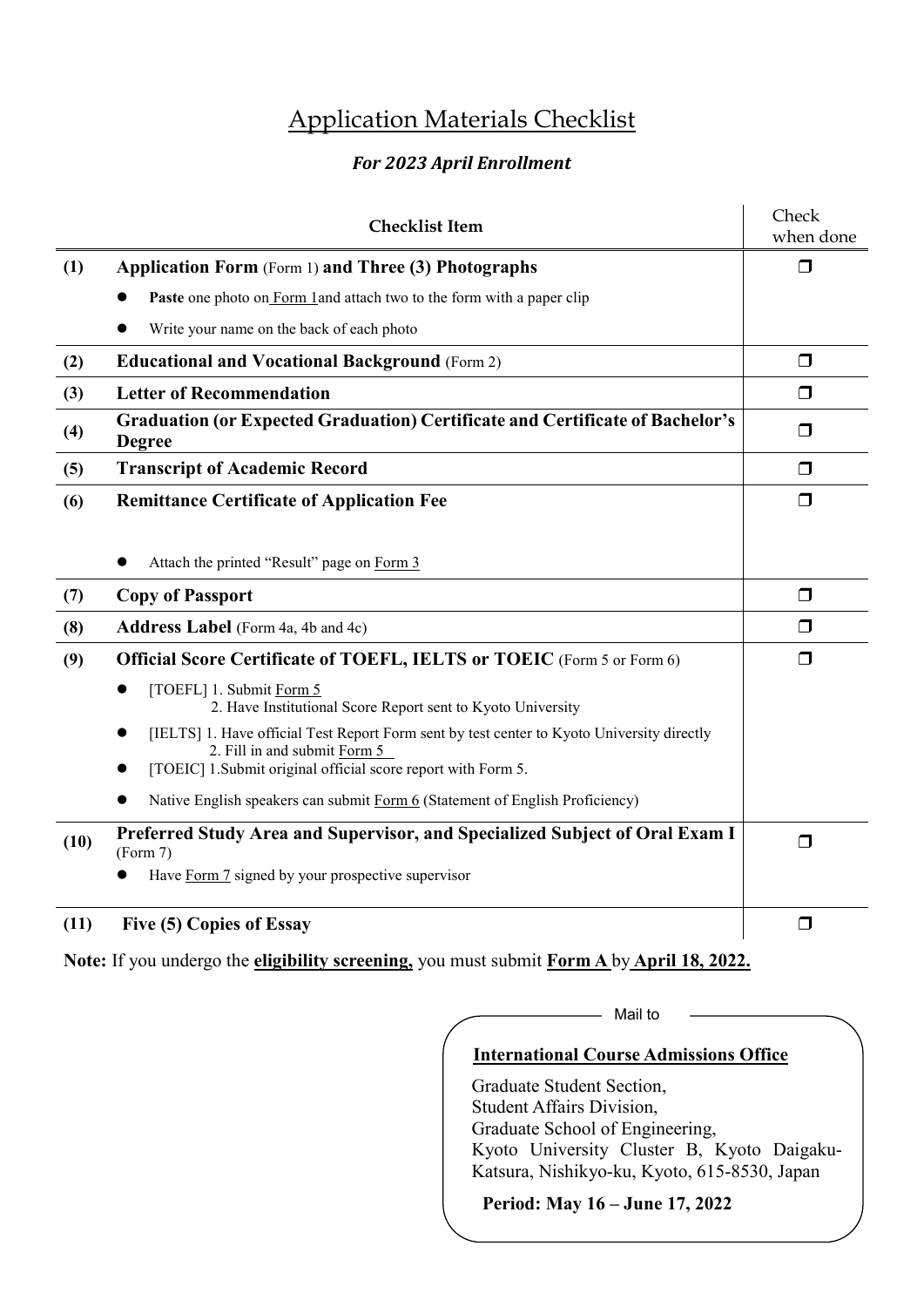# Application Materials Checklist

## *For 2023 April Enrollment*

|      | <b>Checklist Item</b>                                                                                                                   | Check<br>when done |
|------|-----------------------------------------------------------------------------------------------------------------------------------------|--------------------|
| (1)  | <b>Application Form (Form 1) and Three (3) Photographs</b>                                                                              | $\Box$             |
|      | <b>Paste</b> one photo on Form 1 and attach two to the form with a paper clip                                                           |                    |
|      | Write your name on the back of each photo                                                                                               |                    |
| (2)  | <b>Educational and Vocational Background (Form 2)</b>                                                                                   | $\Box$             |
| (3)  | <b>Letter of Recommendation</b>                                                                                                         | $\Box$             |
| (4)  | <b>Graduation (or Expected Graduation) Certificate and Certificate of Bachelor's</b><br><b>Degree</b>                                   | $\Box$             |
| (5)  | <b>Transcript of Academic Record</b>                                                                                                    | $\Box$             |
| (6)  | <b>Remittance Certificate of Application Fee</b>                                                                                        | $\Box$             |
|      |                                                                                                                                         |                    |
|      | Attach the printed "Result" page on Form 3                                                                                              |                    |
| (7)  | <b>Copy of Passport</b>                                                                                                                 | $\Box$             |
| (8)  | <b>Address Label</b> (Form 4a, 4b and 4c)                                                                                               | $\Box$             |
| (9)  | <b>Official Score Certificate of TOEFL, IELTS or TOEIC</b> (Form 5 or Form 6)                                                           | $\Box$             |
|      | [TOEFL] 1. Submit Form 5<br>2. Have Institutional Score Report sent to Kyoto University                                                 |                    |
|      | [IELTS] 1. Have official Test Report Form sent by test center to Kyoto University directly<br>$\bullet$<br>2. Fill in and submit Form 5 |                    |
|      | [TOEIC] 1.Submit original official score report with Form 5.                                                                            |                    |
|      | Native English speakers can submit Form 6 (Statement of English Proficiency)                                                            |                    |
| (10) | Preferred Study Area and Supervisor, and Specialized Subject of Oral Exam I<br>(Form 7)                                                 | $\Box$             |
|      | Have Form 7 signed by your prospective supervisor                                                                                       |                    |
| (11) | Five (5) Copies of Essay                                                                                                                | $\Box$             |

**Note:** If you undergo the **eligibility screening,** you must submit **Form A** by **April 18, 2022.**

## **International Course Admissions Office**

- Mail to

Graduate Student Section, Student Affairs Division, Graduate School of Engineering, Kyoto University Cluster B, Kyoto Daigaku-Katsura, Nishikyo-ku, Kyoto, 615-8530, Japan

**Period: May 16 – June 17, 2022**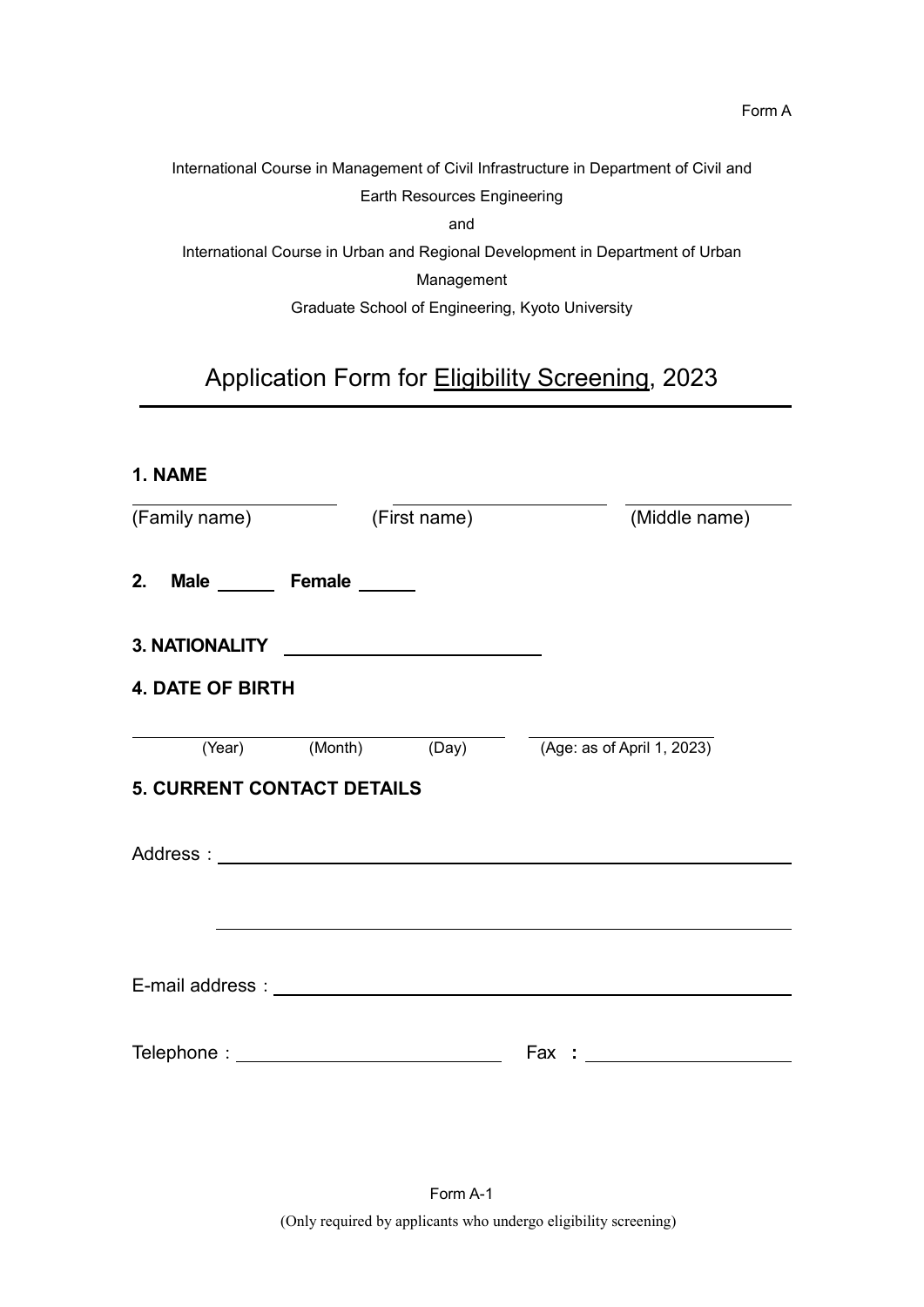International Course in Management of Civil Infrastructure in Department of Civil and Earth Resources Engineering and International Course in Urban and Regional Development in Department of Urban

Management

Graduate School of Engineering, Kyoto University

# Application Form for Eligibility Screening, 2023

| 1. NAME                                       |  |                                                                                                                                                                                                                                |
|-----------------------------------------------|--|--------------------------------------------------------------------------------------------------------------------------------------------------------------------------------------------------------------------------------|
| (Family name) (First name)                    |  | (Middle name)                                                                                                                                                                                                                  |
| 2. Male _________ Female _______              |  |                                                                                                                                                                                                                                |
|                                               |  |                                                                                                                                                                                                                                |
| <b>4. DATE OF BIRTH</b>                       |  |                                                                                                                                                                                                                                |
|                                               |  | (Year) (Month) (Day) (Age: as of April 1, 2023)                                                                                                                                                                                |
| <b>5. CURRENT CONTACT DETAILS</b>             |  |                                                                                                                                                                                                                                |
|                                               |  |                                                                                                                                                                                                                                |
|                                               |  |                                                                                                                                                                                                                                |
|                                               |  |                                                                                                                                                                                                                                |
| Telephone : _________________________________ |  | Fax: the contract of the contract of the contract of the contract of the contract of the contract of the contract of the contract of the contract of the contract of the contract of the contract of the contract of the contr |
|                                               |  |                                                                                                                                                                                                                                |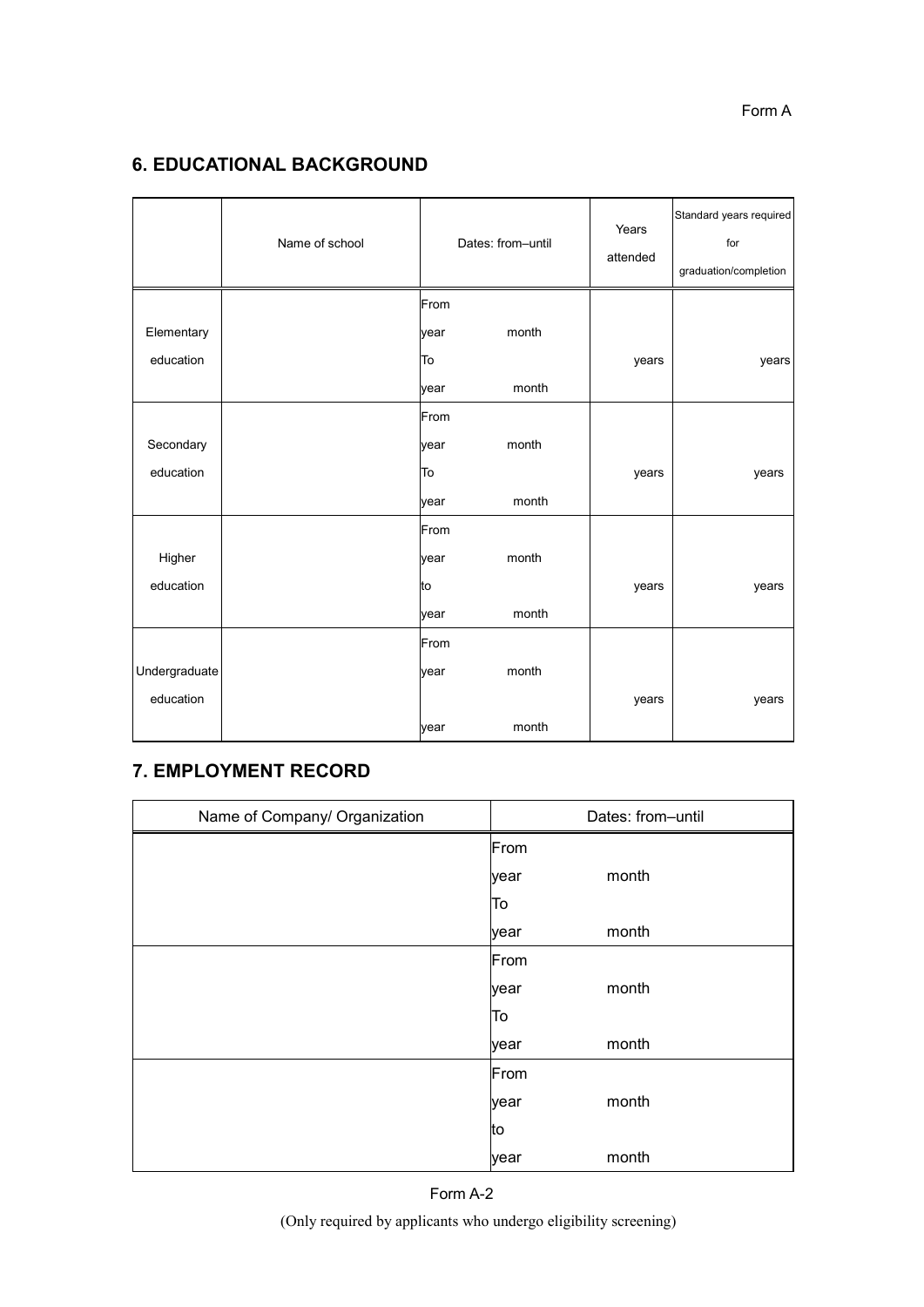# **6. EDUCATIONAL BACKGROUND**

|               | Name of school |      | Dates: from-until | Years<br>attended | Standard years required<br>for<br>graduation/completion |
|---------------|----------------|------|-------------------|-------------------|---------------------------------------------------------|
|               |                | From |                   |                   |                                                         |
| Elementary    |                | year | month             |                   |                                                         |
| education     |                | To   |                   | years             | years                                                   |
|               |                | year | month             |                   |                                                         |
|               |                | From |                   |                   |                                                         |
| Secondary     |                | year | month             |                   |                                                         |
| education     |                | To   |                   | years             | years                                                   |
|               |                | year | month             |                   |                                                         |
|               |                | From |                   |                   |                                                         |
| Higher        |                | year | month             |                   |                                                         |
| education     |                | to   |                   | years             | years                                                   |
|               |                | year | month             |                   |                                                         |
|               |                | From |                   |                   |                                                         |
| Undergraduate |                | year | month             |                   |                                                         |
| education     |                |      |                   | years             | years                                                   |
|               |                | year | month             |                   |                                                         |

# **7. EMPLOYMENT RECORD**

| Name of Company/ Organization |      | Dates: from-until |
|-------------------------------|------|-------------------|
|                               | From |                   |
|                               | year | month             |
|                               | To   |                   |
|                               | year | month             |
|                               | From |                   |
|                               | year | month             |
|                               | To   |                   |
|                               | year | month             |
|                               | From |                   |
|                               | year | month             |
|                               | lto  |                   |
|                               | year | month             |

(Only required by applicants who undergo eligibility screening)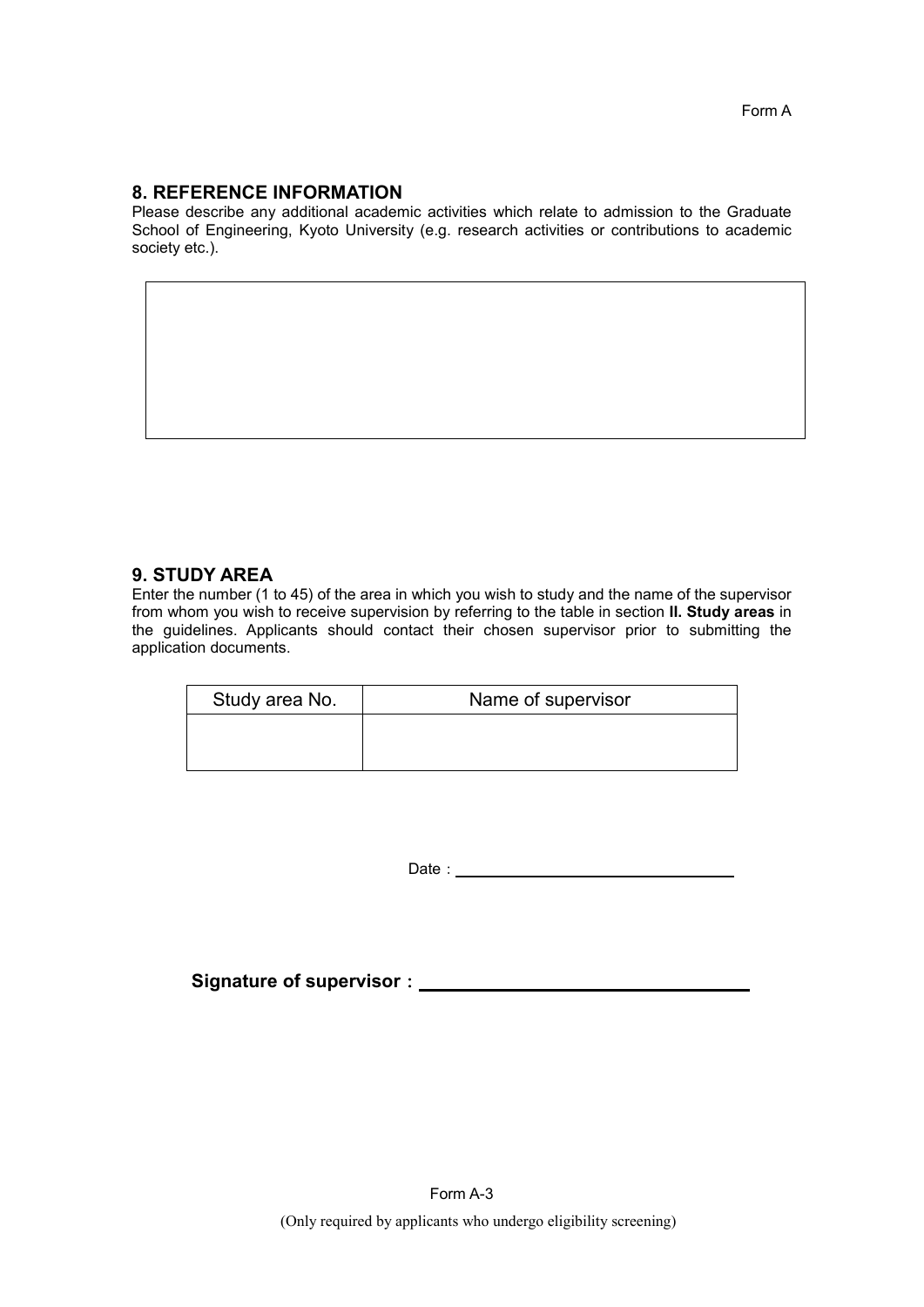#### **8. REFERENCE INFORMATION**

Please describe any additional academic activities which relate to admission to the Graduate School of Engineering, Kyoto University (e.g. research activities or contributions to academic society etc.).

#### **9. STUDY AREA**

Enter the number (1 to 45) of the area in which you wish to study and the name of the supervisor from whom you wish to receive supervision by referring to the table in section **II. Study areas** in the guidelines. Applicants should contact their chosen supervisor prior to submitting the application documents.

| Study area No. | Name of supervisor |
|----------------|--------------------|
|                |                    |
|                |                    |

Date: <u>University of the set of the set of the set of the set of the set of the set of the set of the set of the set of the set of the set of the set of the set of the set of the set of the set of the set of the set of the</u>

**Signature of supervisor**: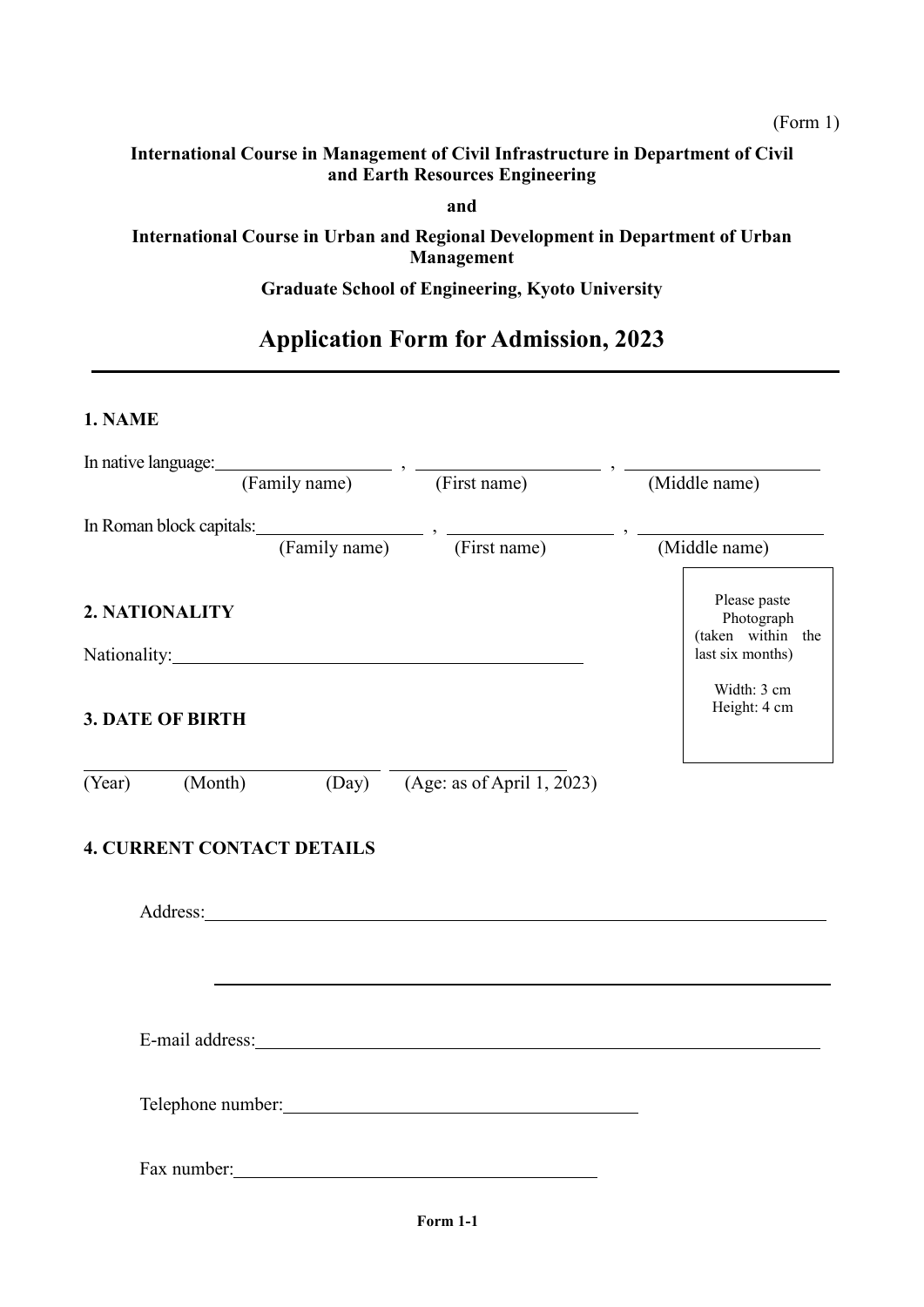**and**

# **International Course in Urban and Regional Development in Department of Urban Management**

# **Graduate School of Engineering, Kyoto University**

# **Application Form for Admission, 2023**

#### **1. NAME**

|                         |                                   | In native language: (Family name) $\cdot$ (First name)                                                                                                                                                                         | (Middle name)                                   |
|-------------------------|-----------------------------------|--------------------------------------------------------------------------------------------------------------------------------------------------------------------------------------------------------------------------------|-------------------------------------------------|
|                         |                                   | In Roman block capitals: (Family name) $\cdot$ (First name) $\cdot$ (Mi                                                                                                                                                        |                                                 |
|                         |                                   |                                                                                                                                                                                                                                | (Middle name)                                   |
| 2. NATIONALITY          |                                   |                                                                                                                                                                                                                                | Please paste<br>Photograph<br>(taken within the |
|                         |                                   | Nationality: Nationality:                                                                                                                                                                                                      | last six months)                                |
| <b>3. DATE OF BIRTH</b> |                                   |                                                                                                                                                                                                                                | Width: 3 cm<br>Height: 4 cm                     |
| (Year) (Month)          |                                   | (Day) (Age: as of April 1, 2023)                                                                                                                                                                                               |                                                 |
|                         | <b>4. CURRENT CONTACT DETAILS</b> |                                                                                                                                                                                                                                |                                                 |
|                         |                                   |                                                                                                                                                                                                                                |                                                 |
|                         |                                   | E-mail address: Note and the set of the set of the set of the set of the set of the set of the set of the set of the set of the set of the set of the set of the set of the set of the set of the set of the set of the set of |                                                 |
|                         |                                   |                                                                                                                                                                                                                                |                                                 |
|                         |                                   | Fax number:                                                                                                                                                                                                                    |                                                 |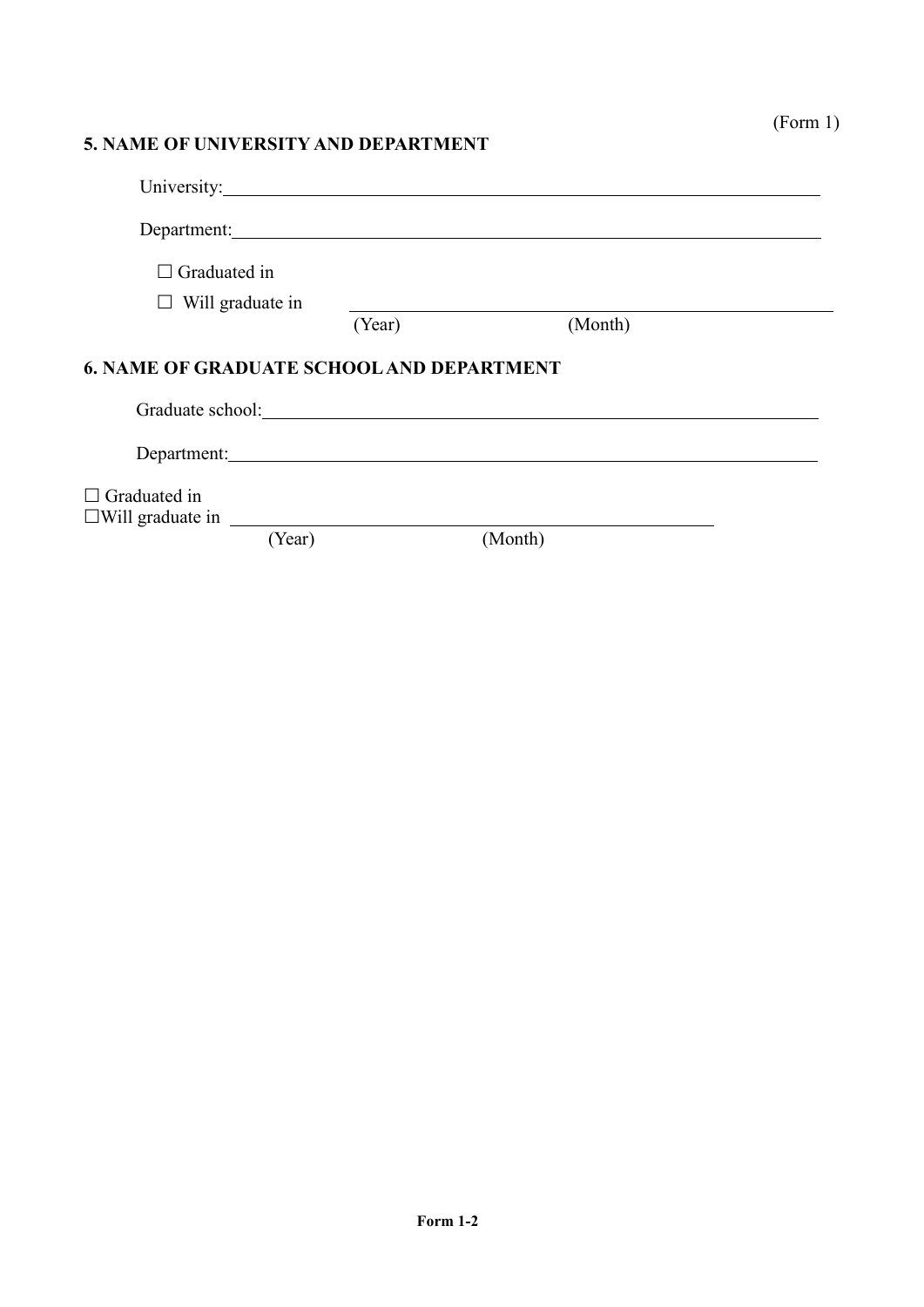## **5. NAME OF UNIVERSITY AND DEPARTMENT**

| University: 1000 minutes and the contract of the contract of the contract of the contract of the contract of the contract of the contract of the contract of the contract of the contract of the contract of the contract of t |        |         |  |
|--------------------------------------------------------------------------------------------------------------------------------------------------------------------------------------------------------------------------------|--------|---------|--|
| Department:                                                                                                                                                                                                                    |        |         |  |
| Graduated in<br>$\perp$                                                                                                                                                                                                        |        |         |  |
| $\Box$ Will graduate in                                                                                                                                                                                                        |        |         |  |
|                                                                                                                                                                                                                                | (Year) | (Month) |  |
| <b>6. NAME OF GRADUATE SCHOOL AND DEPARTMENT</b>                                                                                                                                                                               |        |         |  |
| Department:                                                                                                                                                                                                                    |        |         |  |
| $\Box$ Graduated in<br>$\square$ Will graduate in $\square$                                                                                                                                                                    |        |         |  |
| (Year)                                                                                                                                                                                                                         |        | (Month) |  |

(Form 1)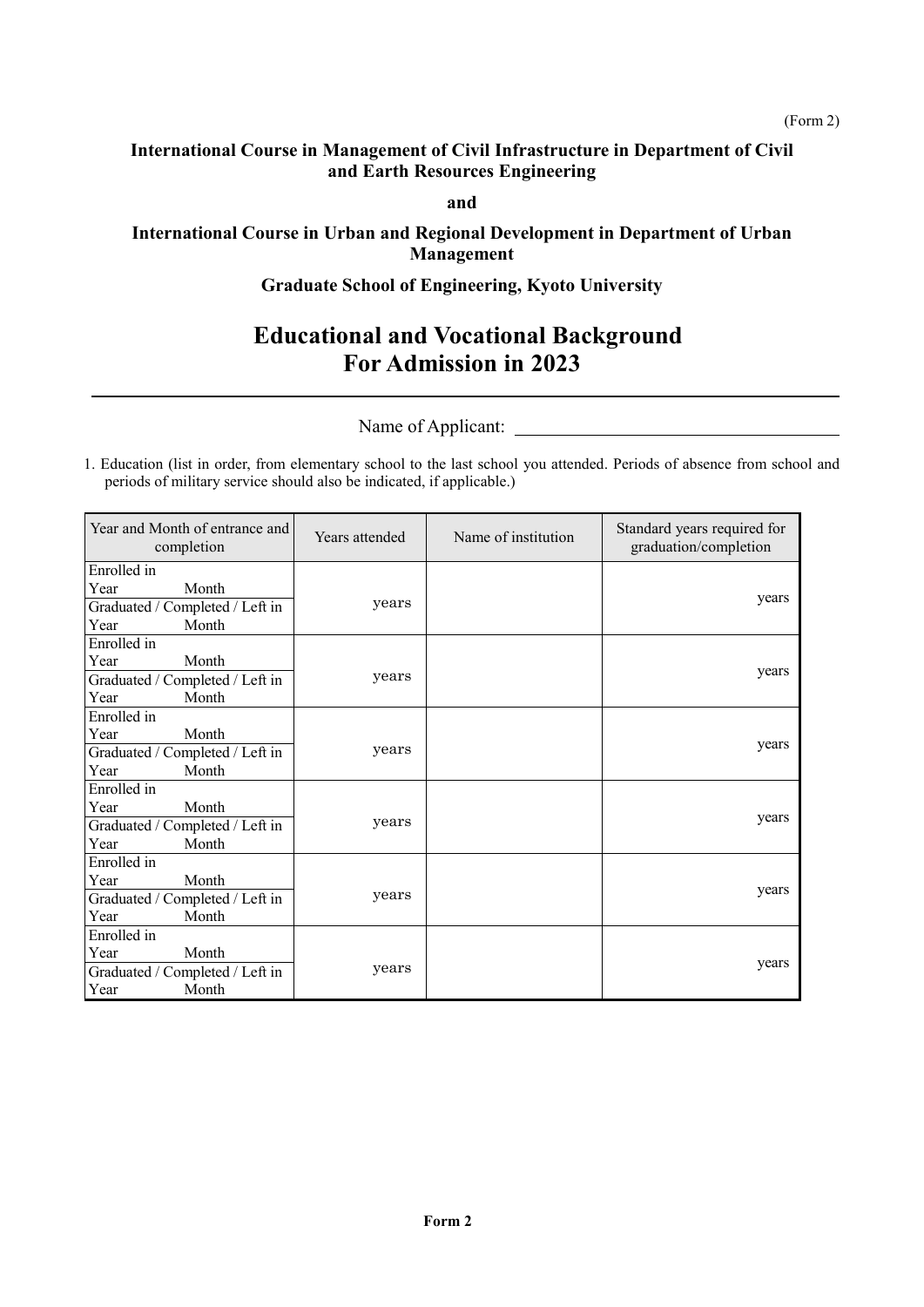**and**

#### **International Course in Urban and Regional Development in Department of Urban Management**

#### **Graduate School of Engineering, Kyoto University**

# **Educational and Vocational Background For Admission in 2023**

Name of Applicant:

1. Education (list in order, from elementary school to the last school you attended. Periods of absence from school and periods of military service should also be indicated, if applicable.)

| Year and Month of entrance and<br>completion | Years attended | Name of institution | Standard years required for<br>graduation/completion |
|----------------------------------------------|----------------|---------------------|------------------------------------------------------|
| Enrolled in                                  |                |                     |                                                      |
| Year<br>Month                                |                |                     |                                                      |
| Graduated / Completed / Left in              | years          |                     | years                                                |
| Year<br>Month                                |                |                     |                                                      |
| Enrolled in                                  |                |                     |                                                      |
| Year<br>Month                                |                |                     | years                                                |
| Graduated / Completed / Left in              | years          |                     |                                                      |
| Year<br>Month                                |                |                     |                                                      |
| Enrolled in                                  |                |                     |                                                      |
| Year<br>Month                                |                |                     |                                                      |
| Graduated / Completed / Left in              | years          |                     | years                                                |
| Year<br>Month                                |                |                     |                                                      |
| Enrolled in                                  |                |                     |                                                      |
| Year<br>Month                                |                |                     |                                                      |
| Graduated / Completed / Left in              | years          |                     | years                                                |
| Year<br>Month                                |                |                     |                                                      |
| Enrolled in                                  |                |                     |                                                      |
| Year<br>Month                                |                |                     |                                                      |
| Graduated / Completed / Left in              | years          |                     | years                                                |
| Year<br>Month                                |                |                     |                                                      |
| Enrolled in                                  |                |                     |                                                      |
| Month<br>Year                                |                |                     |                                                      |
| Graduated / Completed / Left in              | years          |                     | years                                                |
| Year<br>Month                                |                |                     |                                                      |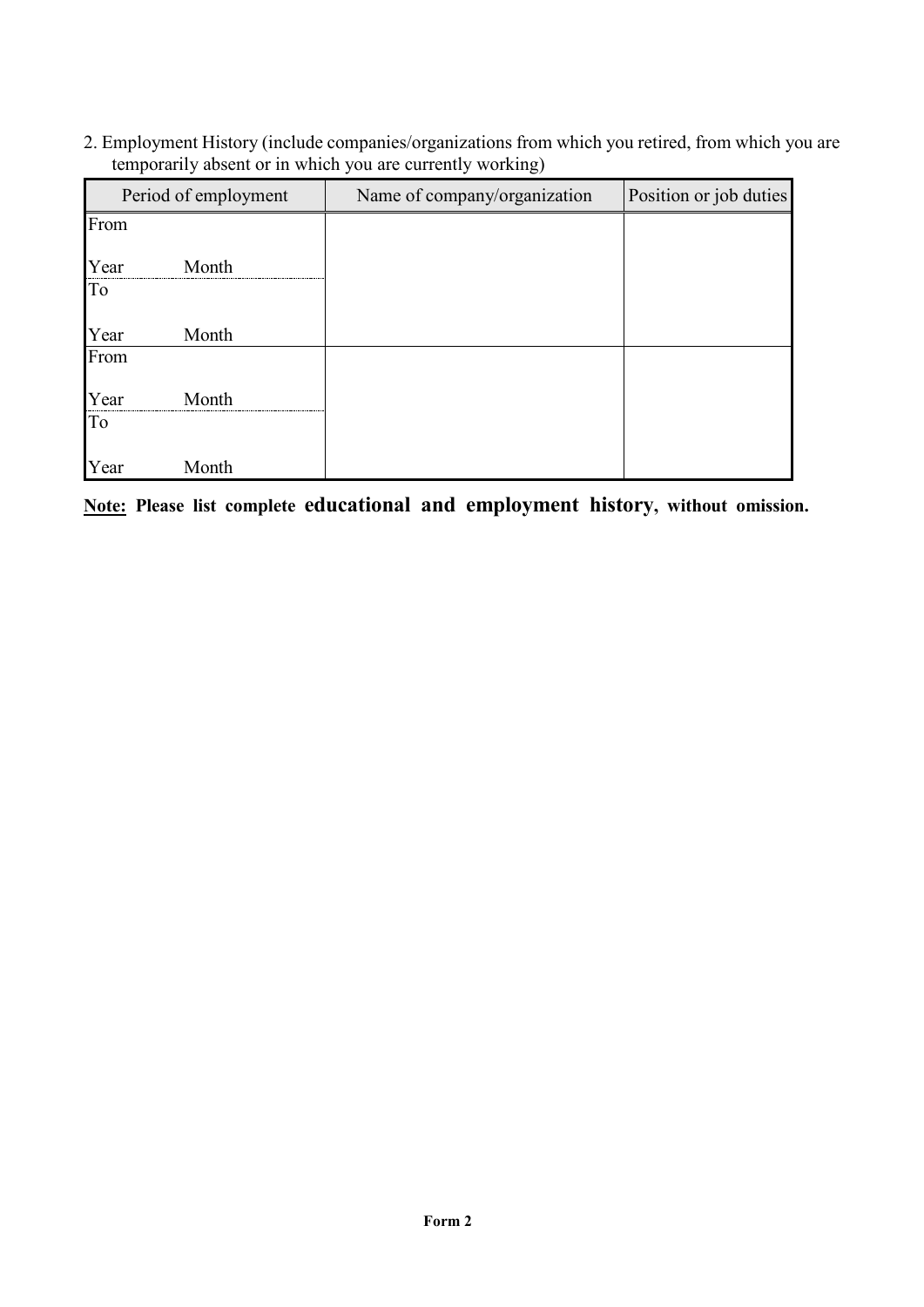2. Employment History (include companies/organizations from which you retired, from which you are temporarily absent or in which you are currently working)

| Period of employment |       | Name of company/organization | Position or job duties |
|----------------------|-------|------------------------------|------------------------|
| From                 |       |                              |                        |
| Year                 | Month |                              |                        |
| To                   |       |                              |                        |
| Year                 | Month |                              |                        |
| From                 |       |                              |                        |
| Year                 | Month |                              |                        |
| To                   |       |                              |                        |
| Year                 | Month |                              |                        |

**Note: Please list complete educational and employment history, without omission.**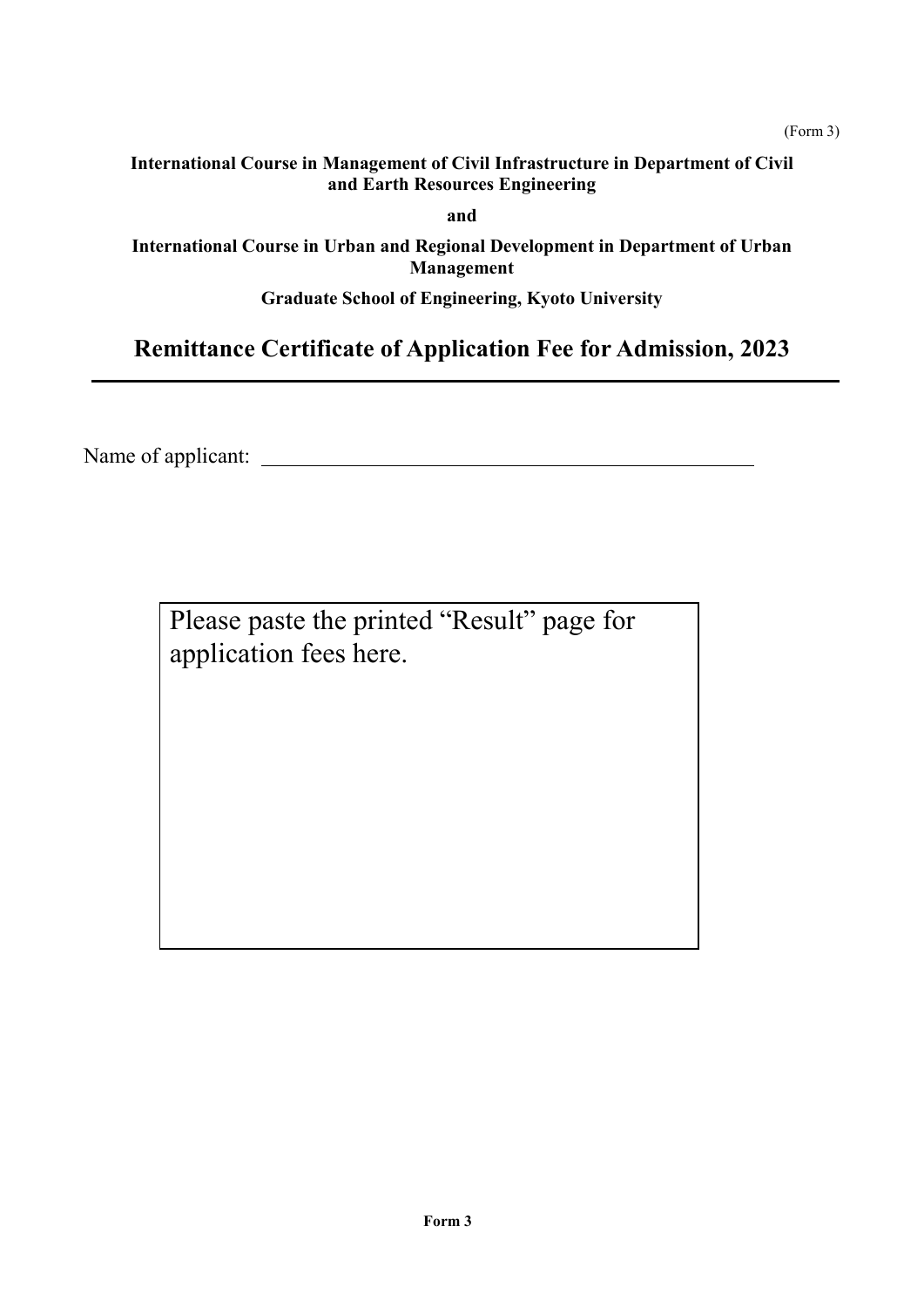(Form 3)

**and**

**International Course in Urban and Regional Development in Department of Urban Management**

**Graduate School of Engineering, Kyoto University**

# **Remittance Certificate of Application Fee for Admission, 2023**

Name of applicant:

Please paste the printed "Result" page for application fees here.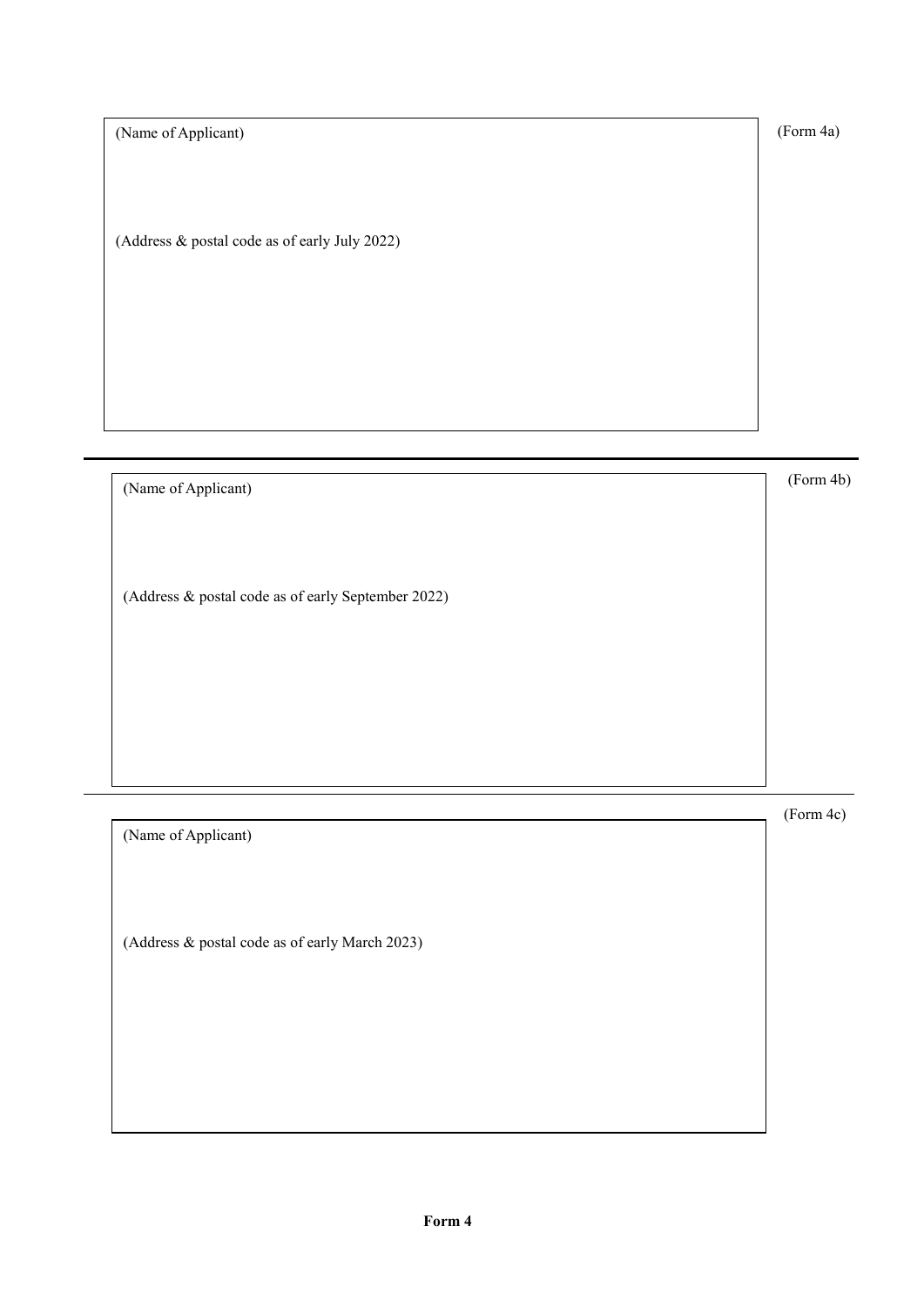(Form 4a)

(Name of Applicant)

(Address & postal code as of early July 2022)

(Name of Applicant) (Form 4b) (Address & postal code as of early September 2022)

(Form 4c) (Name of Applicant) (Address & postal code as of early March 2023)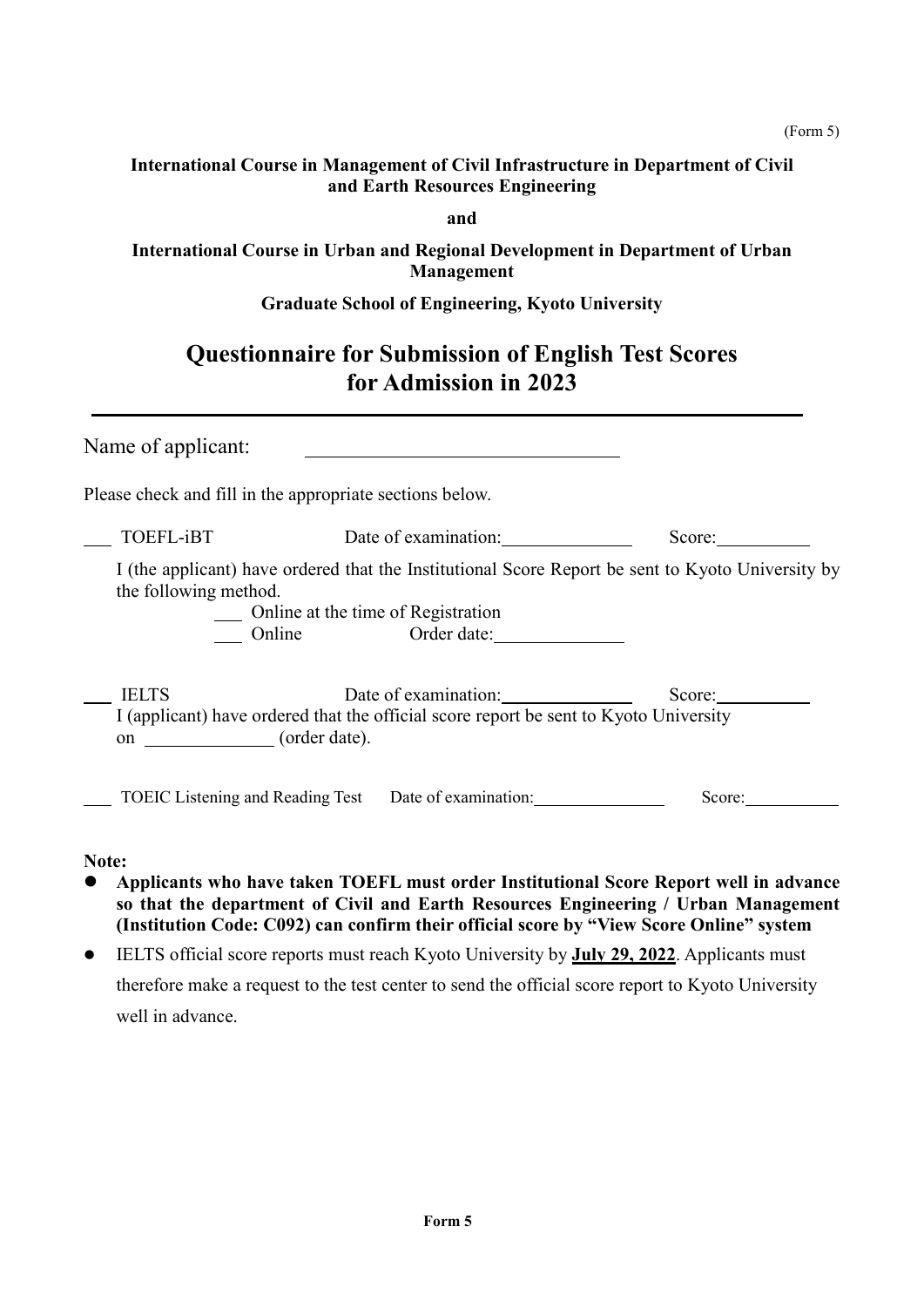**and**

**International Course in Urban and Regional Development in Department of Urban Management**

# **Graduate School of Engineering, Kyoto University**

# **Questionnaire for Submission of English Test Scores for Admission in 2023**

| Name of applicant:                                       |                                                                                                               |                                                                                                                                                                                                                                                                        |
|----------------------------------------------------------|---------------------------------------------------------------------------------------------------------------|------------------------------------------------------------------------------------------------------------------------------------------------------------------------------------------------------------------------------------------------------------------------|
| Please check and fill in the appropriate sections below. |                                                                                                               |                                                                                                                                                                                                                                                                        |
| TOEFL-iBT                                                | Date of examination:                                                                                          | Score:                                                                                                                                                                                                                                                                 |
| the following method.                                    | Online at the time of Registration                                                                            | I (the applicant) have ordered that the Institutional Score Report be sent to Kyoto University by                                                                                                                                                                      |
|                                                          | Online Order date:                                                                                            |                                                                                                                                                                                                                                                                        |
| <b>IELTS</b><br>on _______________(order date).          | Date of examination:<br>I (applicant) have ordered that the official score report be sent to Kyoto University | Score:                                                                                                                                                                                                                                                                 |
|                                                          | TOEIC Listening and Reading Test Date of examination: 1997 1997                                               | Score:                                                                                                                                                                                                                                                                 |
| Note:                                                    |                                                                                                               | Applicants who have taken TOEFL must order Institutional Score Report well in advance<br>so that the department of Civil and Earth Resources Engineering / Urban Management<br>(Institution Code: C092) can confirm their official score by "View Score Online" system |

 IELTS official score reports must reach Kyoto University by **July 29, 2022**. Applicants must therefore make a request to the test center to send the official score report to Kyoto University well in advance.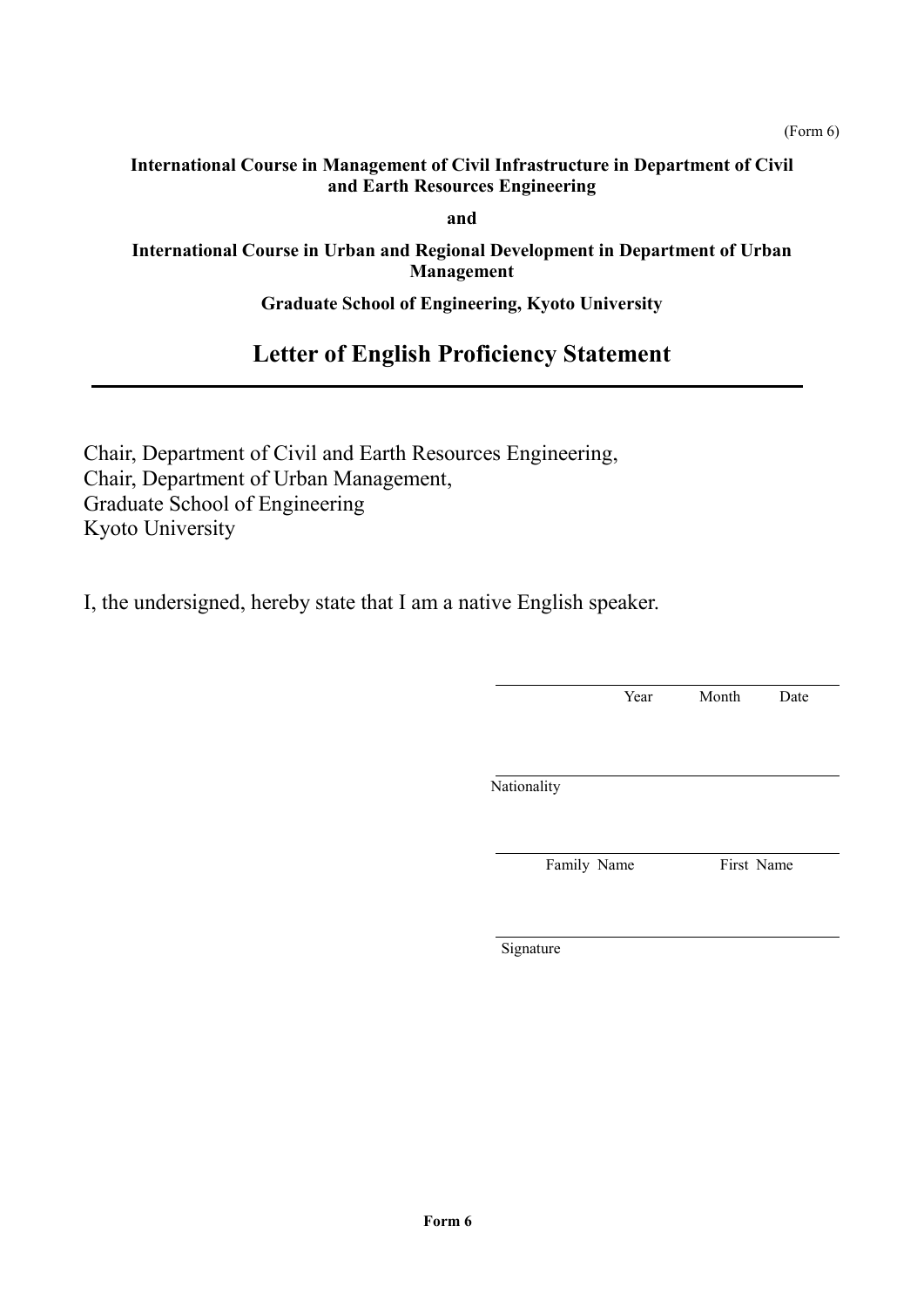**and**

#### **International Course in Urban and Regional Development in Department of Urban Management**

#### **Graduate School of Engineering, Kyoto University**

# **Letter of English Proficiency Statement**

Chair, Department of Civil and Earth Resources Engineering, Chair, Department of Urban Management, Graduate School of Engineering Kyoto University

I, the undersigned, hereby state that I am a native English speaker.

Year Month Date **Nationality** Family Name First Name

Signature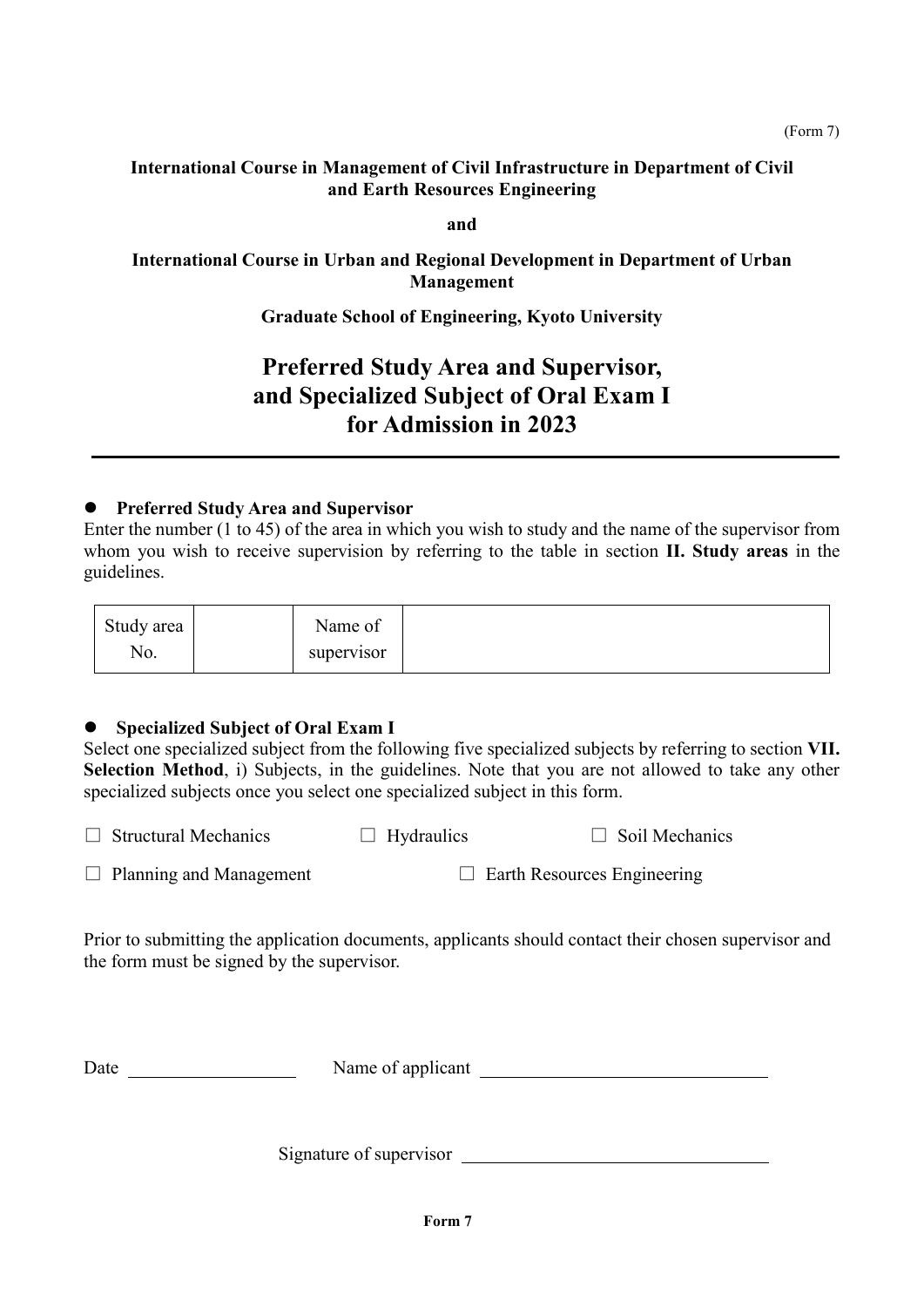**and**

**International Course in Urban and Regional Development in Department of Urban Management**

**Graduate School of Engineering, Kyoto University**

# **Preferred Study Area and Supervisor, and Specialized Subject of Oral Exam I for Admission in 2023**

#### **Preferred Study Area and Supervisor**

Enter the number (1 to 45) of the area in which you wish to study and the name of the supervisor from whom you wish to receive supervision by referring to the table in section **II. Study areas** in the guidelines.

| Study area | <b>T</b><br>$\sim$<br>Name of |
|------------|-------------------------------|
| No.        | supervisor                    |

#### **Specialized Subject of Oral Exam I**

Select one specialized subject from the following five specialized subjects by referring to section **VII. Selection Method**, i) Subjects, in the guidelines. Note that you are not allowed to take any other specialized subjects once you select one specialized subject in this form.

| $\Box$ Structural Mechanics    | $\Box$ Hydraulics | $\Box$ Soil Mechanics              |
|--------------------------------|-------------------|------------------------------------|
| $\Box$ Planning and Management |                   | $\Box$ Earth Resources Engineering |

Prior to submitting the application documents, applicants should contact their chosen supervisor and the form must be signed by the supervisor.

| Date | Name of applicant |  |
|------|-------------------|--|
|      |                   |  |

Signature of supervisor